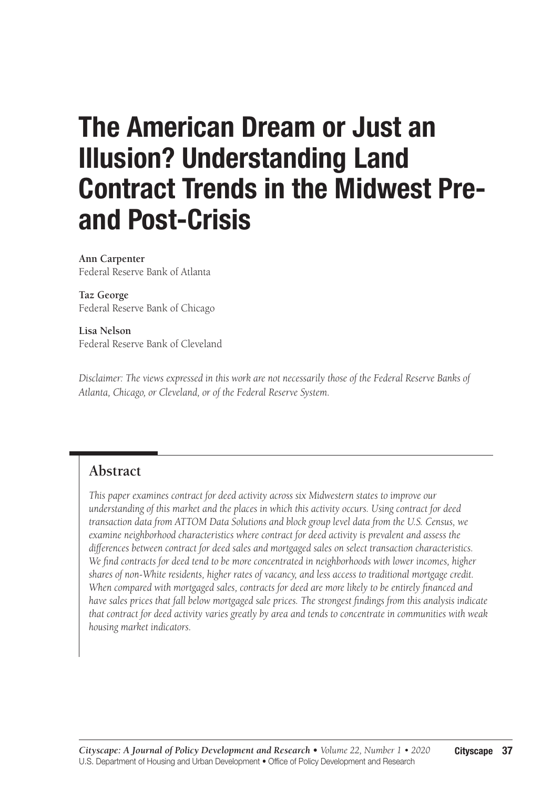# The American Dream or Just an Illusion? Understanding Land Contract Trends in the Midwest Preand Post-Crisis

**Ann Carpenter** Federal Reserve Bank of Atlanta

**Taz George** Federal Reserve Bank of Chicago

**Lisa Nelson**  Federal Reserve Bank of Cleveland

*Disclaimer: The views expressed in this work are not necessarily those of the Federal Reserve Banks of Atlanta, Chicago, or Cleveland, or of the Federal Reserve System.* 

## **Abstract**

*This paper examines contract for deed activity across six Midwestern states to improve our understanding of this market and the places in which this activity occurs. Using contract for deed transaction data from ATTOM Data Solutions and block group level data from the U.S. Census, we examine neighborhood characteristics where contract for deed activity is prevalent and assess the differences between contract for deed sales and mortgaged sales on select transaction characteristics. We find contracts for deed tend to be more concentrated in neighborhoods with lower incomes, higher shares of non-White residents, higher rates of vacancy, and less access to traditional mortgage credit. When compared with mortgaged sales, contracts for deed are more likely to be entirely financed and have sales prices that fall below mortgaged sale prices. The strongest findings from this analysis indicate that contract for deed activity varies greatly by area and tends to concentrate in communities with weak housing market indicators.*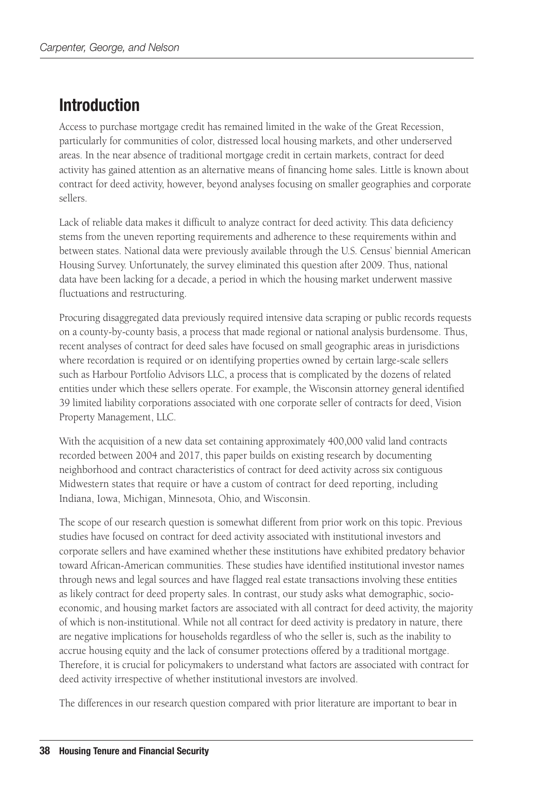## Introduction

Access to purchase mortgage credit has remained limited in the wake of the Great Recession, particularly for communities of color, distressed local housing markets, and other underserved areas. In the near absence of traditional mortgage credit in certain markets, contract for deed activity has gained attention as an alternative means of financing home sales. Little is known about contract for deed activity, however, beyond analyses focusing on smaller geographies and corporate sellers.

Lack of reliable data makes it difficult to analyze contract for deed activity. This data deficiency stems from the uneven reporting requirements and adherence to these requirements within and between states. National data were previously available through the U.S. Census' biennial American Housing Survey. Unfortunately, the survey eliminated this question after 2009. Thus, national data have been lacking for a decade, a period in which the housing market underwent massive fluctuations and restructuring.

Procuring disaggregated data previously required intensive data scraping or public records requests on a county-by-county basis, a process that made regional or national analysis burdensome. Thus, recent analyses of contract for deed sales have focused on small geographic areas in jurisdictions where recordation is required or on identifying properties owned by certain large-scale sellers such as Harbour Portfolio Advisors LLC, a process that is complicated by the dozens of related entities under which these sellers operate. For example, the Wisconsin attorney general identified 39 limited liability corporations associated with one corporate seller of contracts for deed, Vision Property Management, LLC.

With the acquisition of a new data set containing approximately 400,000 valid land contracts recorded between 2004 and 2017, this paper builds on existing research by documenting neighborhood and contract characteristics of contract for deed activity across six contiguous Midwestern states that require or have a custom of contract for deed reporting, including Indiana, Iowa, Michigan, Minnesota, Ohio, and Wisconsin.

The scope of our research question is somewhat different from prior work on this topic. Previous studies have focused on contract for deed activity associated with institutional investors and corporate sellers and have examined whether these institutions have exhibited predatory behavior toward African-American communities. These studies have identified institutional investor names through news and legal sources and have flagged real estate transactions involving these entities as likely contract for deed property sales. In contrast, our study asks what demographic, socioeconomic, and housing market factors are associated with all contract for deed activity, the majority of which is non-institutional. While not all contract for deed activity is predatory in nature, there are negative implications for households regardless of who the seller is, such as the inability to accrue housing equity and the lack of consumer protections offered by a traditional mortgage. Therefore, it is crucial for policymakers to understand what factors are associated with contract for deed activity irrespective of whether institutional investors are involved.

The differences in our research question compared with prior literature are important to bear in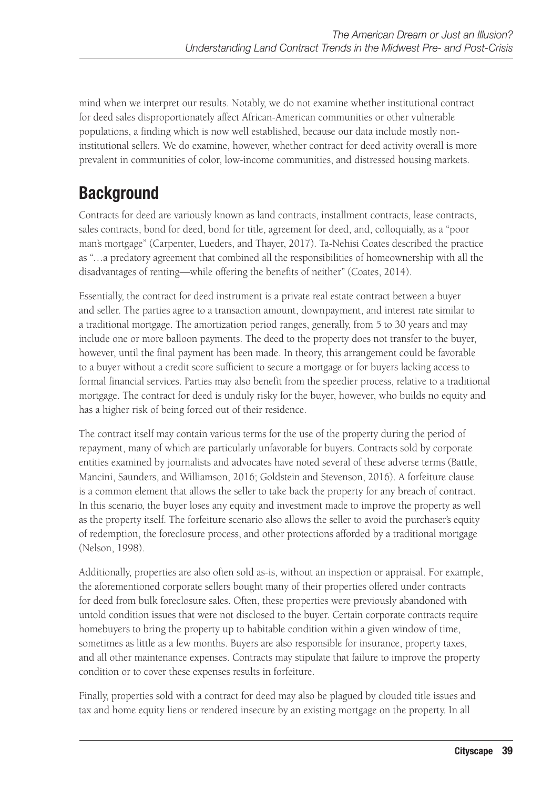mind when we interpret our results. Notably, we do not examine whether institutional contract for deed sales disproportionately affect African-American communities or other vulnerable populations, a finding which is now well established, because our data include mostly noninstitutional sellers. We do examine, however, whether contract for deed activity overall is more prevalent in communities of color, low-income communities, and distressed housing markets.

## **Background**

Contracts for deed are variously known as land contracts, installment contracts, lease contracts, sales contracts, bond for deed, bond for title, agreement for deed, and, colloquially, as a "poor man's mortgage" (Carpenter, Lueders, and Thayer, 2017). Ta-Nehisi Coates described the practice as "…a predatory agreement that combined all the responsibilities of homeownership with all the disadvantages of renting—while offering the benefits of neither" (Coates, 2014).

Essentially, the contract for deed instrument is a private real estate contract between a buyer and seller. The parties agree to a transaction amount, downpayment, and interest rate similar to a traditional mortgage. The amortization period ranges, generally, from 5 to 30 years and may include one or more balloon payments. The deed to the property does not transfer to the buyer, however, until the final payment has been made. In theory, this arrangement could be favorable to a buyer without a credit score sufficient to secure a mortgage or for buyers lacking access to formal financial services. Parties may also benefit from the speedier process, relative to a traditional mortgage. The contract for deed is unduly risky for the buyer, however, who builds no equity and has a higher risk of being forced out of their residence.

The contract itself may contain various terms for the use of the property during the period of repayment, many of which are particularly unfavorable for buyers. Contracts sold by corporate entities examined by journalists and advocates have noted several of these adverse terms (Battle, Mancini, Saunders, and Williamson, 2016; Goldstein and Stevenson, 2016). A forfeiture clause is a common element that allows the seller to take back the property for any breach of contract. In this scenario, the buyer loses any equity and investment made to improve the property as well as the property itself. The forfeiture scenario also allows the seller to avoid the purchaser's equity of redemption, the foreclosure process, and other protections afforded by a traditional mortgage (Nelson, 1998).

Additionally, properties are also often sold as-is, without an inspection or appraisal. For example, the aforementioned corporate sellers bought many of their properties offered under contracts for deed from bulk foreclosure sales. Often, these properties were previously abandoned with untold condition issues that were not disclosed to the buyer. Certain corporate contracts require homebuyers to bring the property up to habitable condition within a given window of time, sometimes as little as a few months. Buyers are also responsible for insurance, property taxes, and all other maintenance expenses. Contracts may stipulate that failure to improve the property condition or to cover these expenses results in forfeiture.

Finally, properties sold with a contract for deed may also be plagued by clouded title issues and tax and home equity liens or rendered insecure by an existing mortgage on the property. In all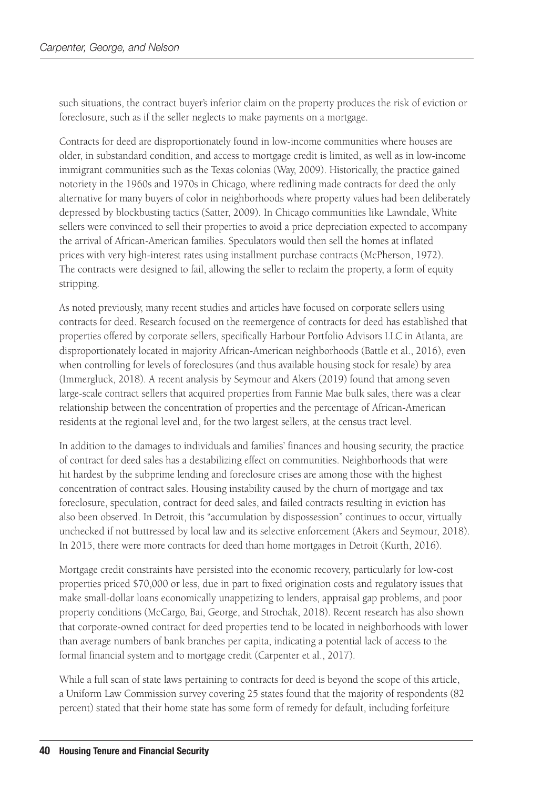such situations, the contract buyer's inferior claim on the property produces the risk of eviction or foreclosure, such as if the seller neglects to make payments on a mortgage.

Contracts for deed are disproportionately found in low-income communities where houses are older, in substandard condition, and access to mortgage credit is limited, as well as in low-income immigrant communities such as the Texas colonias (Way, 2009). Historically, the practice gained notoriety in the 1960s and 1970s in Chicago, where redlining made contracts for deed the only alternative for many buyers of color in neighborhoods where property values had been deliberately depressed by blockbusting tactics (Satter, 2009). In Chicago communities like Lawndale, White sellers were convinced to sell their properties to avoid a price depreciation expected to accompany the arrival of African-American families. Speculators would then sell the homes at inflated prices with very high-interest rates using installment purchase contracts (McPherson, 1972). The contracts were designed to fail, allowing the seller to reclaim the property, a form of equity stripping.

As noted previously, many recent studies and articles have focused on corporate sellers using contracts for deed. Research focused on the reemergence of contracts for deed has established that properties offered by corporate sellers, specifically Harbour Portfolio Advisors LLC in Atlanta, are disproportionately located in majority African-American neighborhoods (Battle et al., 2016), even when controlling for levels of foreclosures (and thus available housing stock for resale) by area (Immergluck, 2018). A recent analysis by Seymour and Akers (2019) found that among seven large-scale contract sellers that acquired properties from Fannie Mae bulk sales, there was a clear relationship between the concentration of properties and the percentage of African-American residents at the regional level and, for the two largest sellers, at the census tract level.

In addition to the damages to individuals and families' finances and housing security, the practice of contract for deed sales has a destabilizing effect on communities. Neighborhoods that were hit hardest by the subprime lending and foreclosure crises are among those with the highest concentration of contract sales. Housing instability caused by the churn of mortgage and tax foreclosure, speculation, contract for deed sales, and failed contracts resulting in eviction has also been observed. In Detroit, this "accumulation by dispossession" continues to occur, virtually unchecked if not buttressed by local law and its selective enforcement (Akers and Seymour, 2018). In 2015, there were more contracts for deed than home mortgages in Detroit (Kurth, 2016).

Mortgage credit constraints have persisted into the economic recovery, particularly for low-cost properties priced \$70,000 or less, due in part to fixed origination costs and regulatory issues that make small-dollar loans economically unappetizing to lenders, appraisal gap problems, and poor property conditions (McCargo, Bai, George, and Strochak, 2018). Recent research has also shown that corporate-owned contract for deed properties tend to be located in neighborhoods with lower than average numbers of bank branches per capita, indicating a potential lack of access to the formal financial system and to mortgage credit (Carpenter et al., 2017).

While a full scan of state laws pertaining to contracts for deed is beyond the scope of this article, a Uniform Law Commission survey covering 25 states found that the majority of respondents (82 percent) stated that their home state has some form of remedy for default, including forfeiture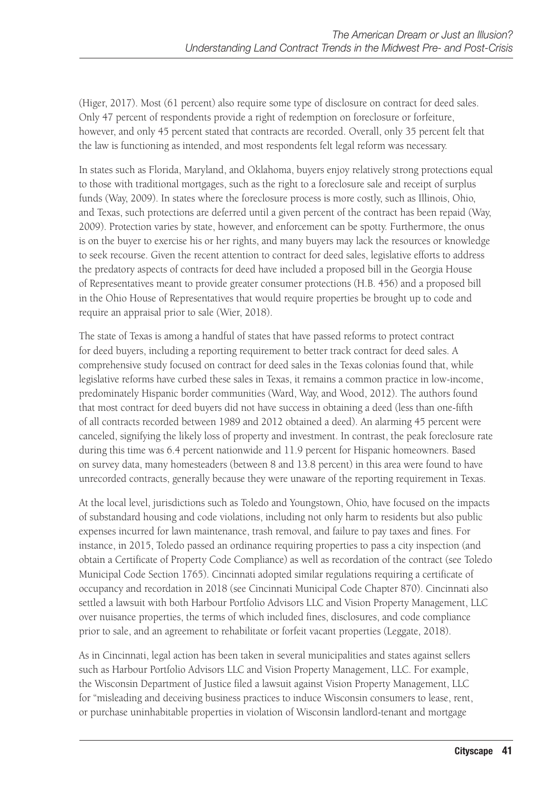(Higer, 2017). Most (61 percent) also require some type of disclosure on contract for deed sales. Only 47 percent of respondents provide a right of redemption on foreclosure or forfeiture, however, and only 45 percent stated that contracts are recorded. Overall, only 35 percent felt that the law is functioning as intended, and most respondents felt legal reform was necessary.

In states such as Florida, Maryland, and Oklahoma, buyers enjoy relatively strong protections equal to those with traditional mortgages, such as the right to a foreclosure sale and receipt of surplus funds (Way, 2009). In states where the foreclosure process is more costly, such as Illinois, Ohio, and Texas, such protections are deferred until a given percent of the contract has been repaid (Way, 2009). Protection varies by state, however, and enforcement can be spotty. Furthermore, the onus is on the buyer to exercise his or her rights, and many buyers may lack the resources or knowledge to seek recourse. Given the recent attention to contract for deed sales, legislative efforts to address the predatory aspects of contracts for deed have included a proposed bill in the Georgia House of Representatives meant to provide greater consumer protections (H.B. 456) and a proposed bill in the Ohio House of Representatives that would require properties be brought up to code and require an appraisal prior to sale (Wier, 2018).

The state of Texas is among a handful of states that have passed reforms to protect contract for deed buyers, including a reporting requirement to better track contract for deed sales. A comprehensive study focused on contract for deed sales in the Texas colonias found that, while legislative reforms have curbed these sales in Texas, it remains a common practice in low-income, predominately Hispanic border communities (Ward, Way, and Wood, 2012). The authors found that most contract for deed buyers did not have success in obtaining a deed (less than one-fifth of all contracts recorded between 1989 and 2012 obtained a deed). An alarming 45 percent were canceled, signifying the likely loss of property and investment. In contrast, the peak foreclosure rate during this time was 6.4 percent nationwide and 11.9 percent for Hispanic homeowners. Based on survey data, many homesteaders (between 8 and 13.8 percent) in this area were found to have unrecorded contracts, generally because they were unaware of the reporting requirement in Texas.

At the local level, jurisdictions such as Toledo and Youngstown, Ohio, have focused on the impacts of substandard housing and code violations, including not only harm to residents but also public expenses incurred for lawn maintenance, trash removal, and failure to pay taxes and fines. For instance, in 2015, Toledo passed an ordinance requiring properties to pass a city inspection (and obtain a Certificate of Property Code Compliance) as well as recordation of the contract (see Toledo Municipal Code Section 1765). Cincinnati adopted similar regulations requiring a certificate of occupancy and recordation in 2018 (see Cincinnati Municipal Code Chapter 870). Cincinnati also settled a lawsuit with both Harbour Portfolio Advisors LLC and Vision Property Management, LLC over nuisance properties, the terms of which included fines, disclosures, and code compliance prior to sale, and an agreement to rehabilitate or forfeit vacant properties (Leggate, 2018).

As in Cincinnati, legal action has been taken in several municipalities and states against sellers such as Harbour Portfolio Advisors LLC and Vision Property Management, LLC. For example, the Wisconsin Department of Justice filed a lawsuit against Vision Property Management, LLC for "misleading and deceiving business practices to induce Wisconsin consumers to lease, rent, or purchase uninhabitable properties in violation of Wisconsin landlord-tenant and mortgage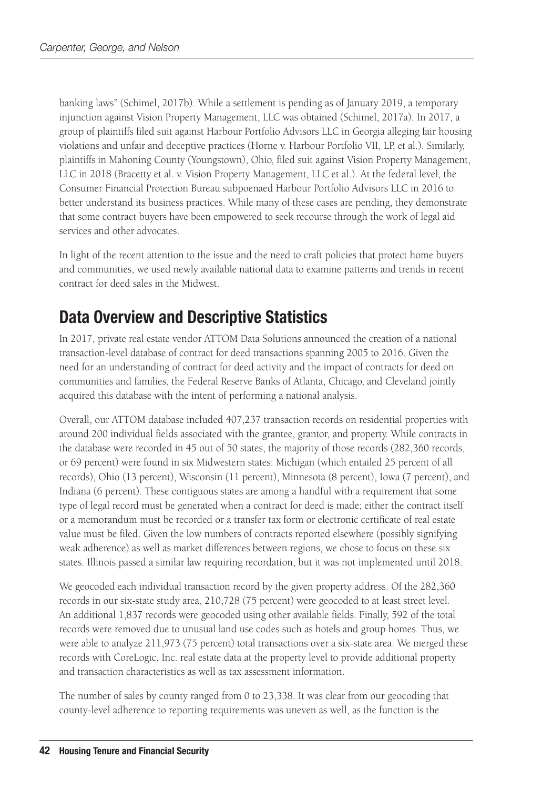banking laws" (Schimel, 2017b). While a settlement is pending as of January 2019, a temporary injunction against Vision Property Management, LLC was obtained (Schimel, 2017a). In 2017, a group of plaintiffs filed suit against Harbour Portfolio Advisors LLC in Georgia alleging fair housing violations and unfair and deceptive practices (Horne v. Harbour Portfolio VII, LP, et al.). Similarly, plaintiffs in Mahoning County (Youngstown), Ohio, filed suit against Vision Property Management, LLC in 2018 (Bracetty et al. v. Vision Property Management, LLC et al.). At the federal level, the Consumer Financial Protection Bureau subpoenaed Harbour Portfolio Advisors LLC in 2016 to better understand its business practices. While many of these cases are pending, they demonstrate that some contract buyers have been empowered to seek recourse through the work of legal aid services and other advocates.

In light of the recent attention to the issue and the need to craft policies that protect home buyers and communities, we used newly available national data to examine patterns and trends in recent contract for deed sales in the Midwest.

## Data Overview and Descriptive Statistics

In 2017, private real estate vendor ATTOM Data Solutions announced the creation of a national transaction-level database of contract for deed transactions spanning 2005 to 2016. Given the need for an understanding of contract for deed activity and the impact of contracts for deed on communities and families, the Federal Reserve Banks of Atlanta, Chicago, and Cleveland jointly acquired this database with the intent of performing a national analysis.

Overall, our ATTOM database included 407,237 transaction records on residential properties with around 200 individual fields associated with the grantee, grantor, and property. While contracts in the database were recorded in 45 out of 50 states, the majority of those records (282,360 records, or 69 percent) were found in six Midwestern states: Michigan (which entailed 25 percent of all records), Ohio (13 percent), Wisconsin (11 percent), Minnesota (8 percent), Iowa (7 percent), and Indiana (6 percent). These contiguous states are among a handful with a requirement that some type of legal record must be generated when a contract for deed is made; either the contract itself or a memorandum must be recorded or a transfer tax form or electronic certificate of real estate value must be filed. Given the low numbers of contracts reported elsewhere (possibly signifying weak adherence) as well as market differences between regions, we chose to focus on these six states. Illinois passed a similar law requiring recordation, but it was not implemented until 2018.

We geocoded each individual transaction record by the given property address. Of the 282,360 records in our six-state study area, 210,728 (75 percent) were geocoded to at least street level. An additional 1,837 records were geocoded using other available fields. Finally, 592 of the total records were removed due to unusual land use codes such as hotels and group homes. Thus, we were able to analyze 211,973 (75 percent) total transactions over a six-state area. We merged these records with CoreLogic, Inc. real estate data at the property level to provide additional property and transaction characteristics as well as tax assessment information.

The number of sales by county ranged from 0 to 23,338. It was clear from our geocoding that county-level adherence to reporting requirements was uneven as well, as the function is the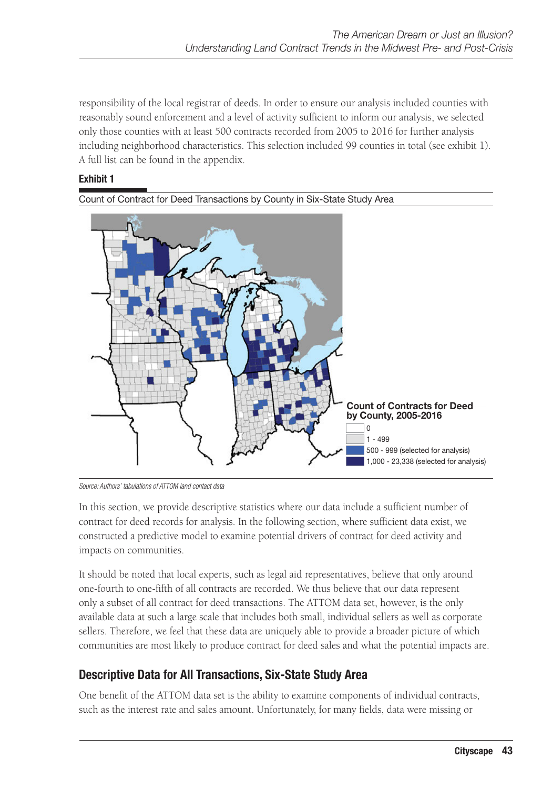responsibility of the local registrar of deeds. In order to ensure our analysis included counties with reasonably sound enforcement and a level of activity sufficient to inform our analysis, we selected only those counties with at least 500 contracts recorded from 2005 to 2016 for further analysis including neighborhood characteristics. This selection included 99 counties in total (see exhibit 1). A full list can be found in the appendix.

#### Exhibit 1

Count of Contract for Deed Transactions by County in Six-State Study Area



*Source: Authors' tabulations of ATTOM land contact data*

In this section, we provide descriptive statistics where our data include a sufficient number of contract for deed records for analysis. In the following section, where sufficient data exist, we constructed a predictive model to examine potential drivers of contract for deed activity and impacts on communities.

It should be noted that local experts, such as legal aid representatives, believe that only around one-fourth to one-fifth of all contracts are recorded. We thus believe that our data represent only a subset of all contract for deed transactions. The ATTOM data set, however, is the only available data at such a large scale that includes both small, individual sellers as well as corporate sellers. Therefore, we feel that these data are uniquely able to provide a broader picture of which communities are most likely to produce contract for deed sales and what the potential impacts are.

## Descriptive Data for All Transactions, Six-State Study Area

One benefit of the ATTOM data set is the ability to examine components of individual contracts, such as the interest rate and sales amount. Unfortunately, for many fields, data were missing or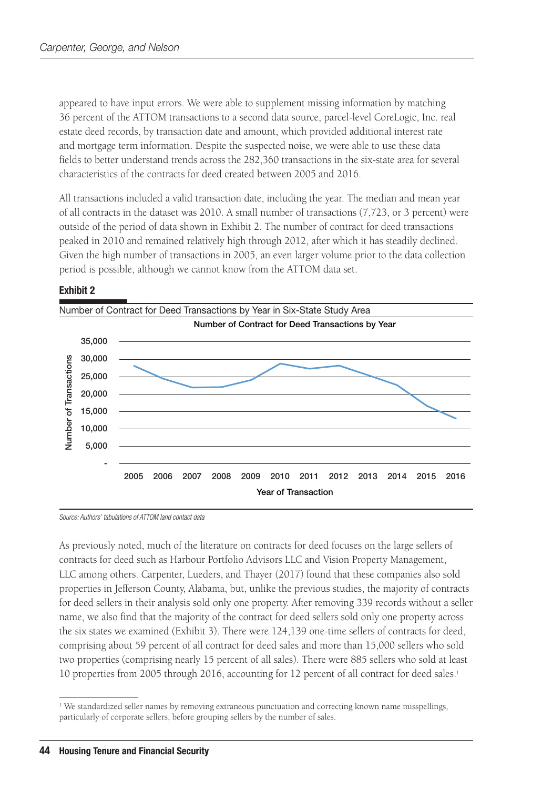appeared to have input errors. We were able to supplement missing information by matching 36 percent of the ATTOM transactions to a second data source, parcel-level CoreLogic, Inc. real estate deed records, by transaction date and amount, which provided additional interest rate and mortgage term information. Despite the suspected noise, we were able to use these data fields to better understand trends across the 282,360 transactions in the six-state area for several characteristics of the contracts for deed created between 2005 and 2016.

All transactions included a valid transaction date, including the year. The median and mean year of all contracts in the dataset was 2010. A small number of transactions (7,723, or 3 percent) were outside of the period of data shown in Exhibit 2. The number of contract for deed transactions peaked in 2010 and remained relatively high through 2012, after which it has steadily declined. Given the high number of transactions in 2005, an even larger volume prior to the data collection period is possible, although we cannot know from the ATTOM data set.



#### Exhibit 2

*Source: Authors' tabulations of ATTOM land contact data*

As previously noted, much of the literature on contracts for deed focuses on the large sellers of contracts for deed such as Harbour Portfolio Advisors LLC and Vision Property Management, LLC among others. Carpenter, Lueders, and Thayer (2017) found that these companies also sold properties in Jefferson County, Alabama, but, unlike the previous studies, the majority of contracts for deed sellers in their analysis sold only one property. After removing 339 records without a seller name, we also find that the majority of the contract for deed sellers sold only one property across the six states we examined (Exhibit 3). There were 124,139 one-time sellers of contracts for deed, comprising about 59 percent of all contract for deed sales and more than 15,000 sellers who sold two properties (comprising nearly 15 percent of all sales). There were 885 sellers who sold at least 10 properties from 2005 through 2016, accounting for 12 percent of all contract for deed sales.1

<sup>&</sup>lt;sup>1</sup> We standardized seller names by removing extraneous punctuation and correcting known name misspellings, particularly of corporate sellers, before grouping sellers by the number of sales.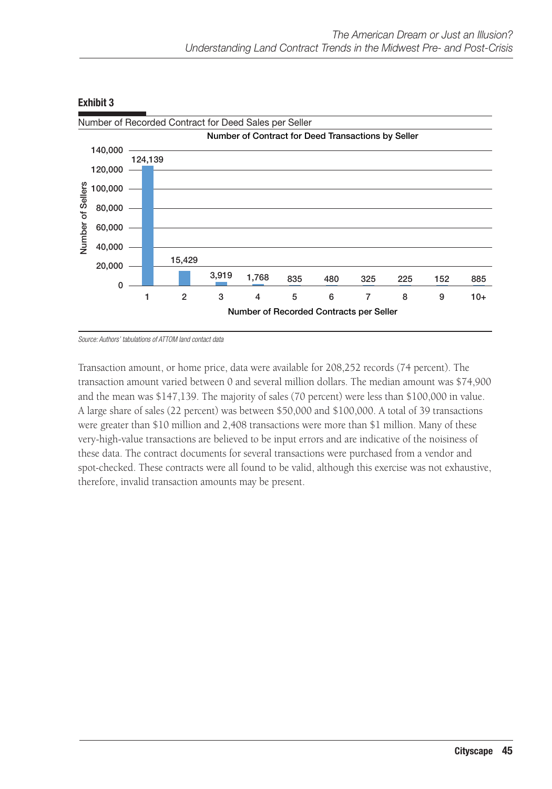

*Source: Authors' tabulations of ATTOM land contact data*

Transaction amount, or home price, data were available for 208,252 records (74 percent). The transaction amount varied between 0 and several million dollars. The median amount was \$74,900 and the mean was \$147,139. The majority of sales (70 percent) were less than \$100,000 in value. A large share of sales (22 percent) was between \$50,000 and \$100,000. A total of 39 transactions were greater than \$10 million and 2,408 transactions were more than \$1 million. Many of these very-high-value transactions are believed to be input errors and are indicative of the noisiness of these data. The contract documents for several transactions were purchased from a vendor and spot-checked. These contracts were all found to be valid, although this exercise was not exhaustive, therefore, invalid transaction amounts may be present.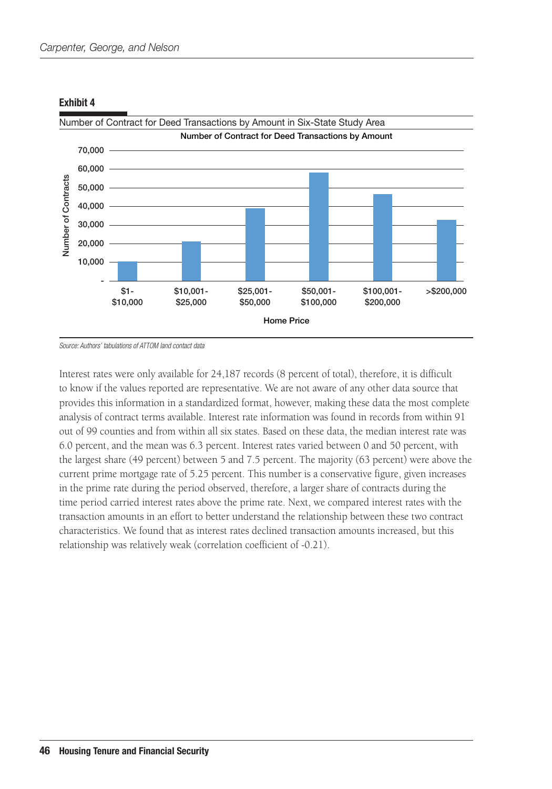

*Source: Authors' tabulations of ATTOM land contact data*

Interest rates were only available for 24,187 records (8 percent of total), therefore, it is difficult to know if the values reported are representative. We are not aware of any other data source that provides this information in a standardized format, however, making these data the most complete analysis of contract terms available. Interest rate information was found in records from within 91 out of 99 counties and from within all six states. Based on these data, the median interest rate was 6.0 percent, and the mean was 6.3 percent. Interest rates varied between 0 and 50 percent, with the largest share (49 percent) between 5 and 7.5 percent. The majority (63 percent) were above the current prime mortgage rate of 5.25 percent. This number is a conservative figure, given increases in the prime rate during the period observed, therefore, a larger share of contracts during the time period carried interest rates above the prime rate. Next, we compared interest rates with the transaction amounts in an effort to better understand the relationship between these two contract characteristics. We found that as interest rates declined transaction amounts increased, but this relationship was relatively weak (correlation coefficient of -0.21).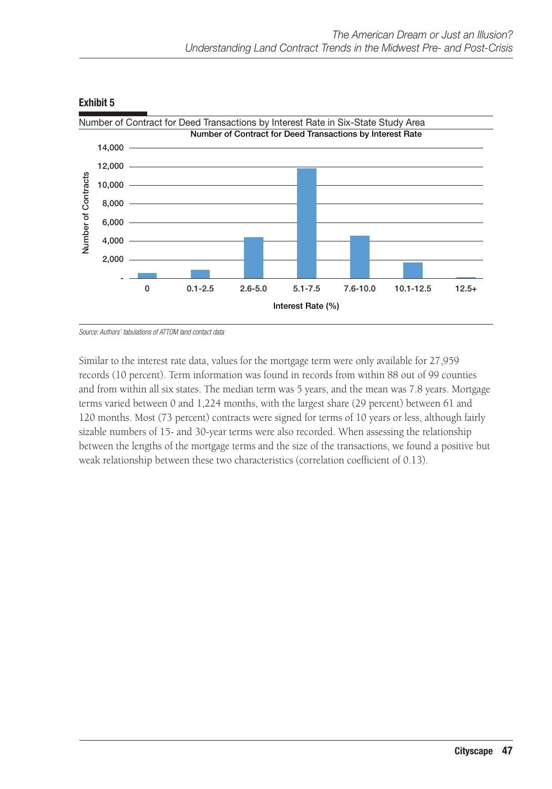

*Source: Authors' tabulations of ATTOM land contact data*

Similar to the interest rate data, values for the mortgage term were only available for 27,959 records (10 percent). Term information was found in records from within 88 out of 99 counties and from within all six states. The median term was 5 years, and the mean was 7.8 years. Mortgage terms varied between 0 and 1,224 months, with the largest share (29 percent) between 61 and 120 months. Most (73 percent) contracts were signed for terms of 10 years or less, although fairly sizable numbers of 15- and 30-year terms were also recorded. When assessing the relationship between the lengths of the mortgage terms and the size of the transactions, we found a positive but weak relationship between these two characteristics (correlation coefficient of 0.13).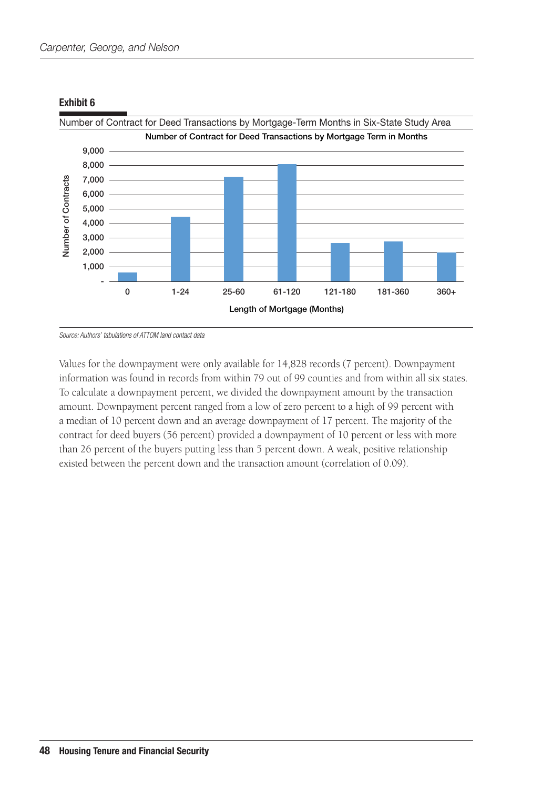

*Source: Authors' tabulations of ATTOM land contact data*

Values for the downpayment were only available for 14,828 records (7 percent). Downpayment information was found in records from within 79 out of 99 counties and from within all six states. To calculate a downpayment percent, we divided the downpayment amount by the transaction amount. Downpayment percent ranged from a low of zero percent to a high of 99 percent with a median of 10 percent down and an average downpayment of 17 percent. The majority of the contract for deed buyers (56 percent) provided a downpayment of 10 percent or less with more than 26 percent of the buyers putting less than 5 percent down. A weak, positive relationship existed between the percent down and the transaction amount (correlation of 0.09).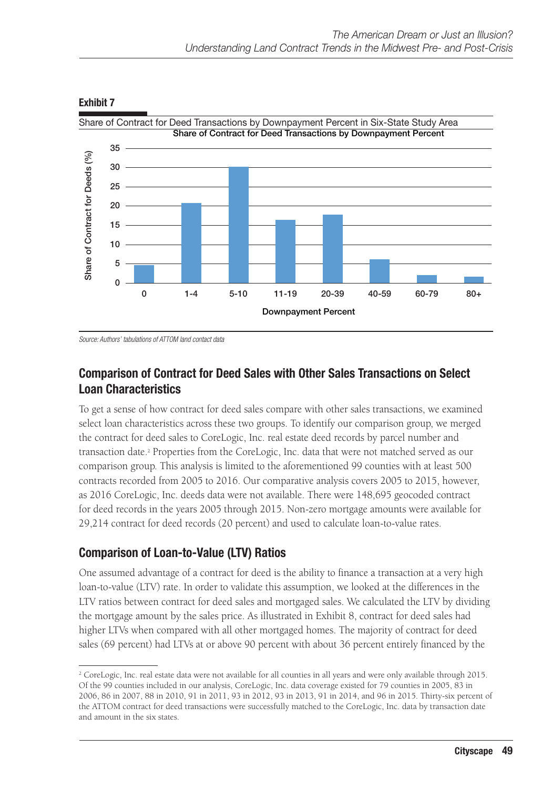

Exhibit 7

*Source: Authors' tabulations of ATTOM land contact data*

## Comparison of Contract for Deed Sales with Other Sales Transactions on Select Loan Characteristics

To get a sense of how contract for deed sales compare with other sales transactions, we examined select loan characteristics across these two groups. To identify our comparison group, we merged the contract for deed sales to CoreLogic, Inc. real estate deed records by parcel number and transaction date.<sup>2</sup> Properties from the CoreLogic, Inc. data that were not matched served as our comparison group. This analysis is limited to the aforementioned 99 counties with at least 500 contracts recorded from 2005 to 2016. Our comparative analysis covers 2005 to 2015, however, as 2016 CoreLogic, Inc. deeds data were not available. There were 148,695 geocoded contract for deed records in the years 2005 through 2015. Non-zero mortgage amounts were available for 29,214 contract for deed records (20 percent) and used to calculate loan-to-value rates.

## Comparison of Loan-to-Value (LTV) Ratios

One assumed advantage of a contract for deed is the ability to finance a transaction at a very high loan-to-value (LTV) rate. In order to validate this assumption, we looked at the differences in the LTV ratios between contract for deed sales and mortgaged sales. We calculated the LTV by dividing the mortgage amount by the sales price. As illustrated in Exhibit 8, contract for deed sales had higher LTVs when compared with all other mortgaged homes. The majority of contract for deed sales (69 percent) had LTVs at or above 90 percent with about 36 percent entirely financed by the

<sup>&</sup>lt;sup>2</sup> CoreLogic, Inc. real estate data were not available for all counties in all years and were only available through 2015. Of the 99 counties included in our analysis, CoreLogic, Inc. data coverage existed for 79 counties in 2005, 83 in 2006, 86 in 2007, 88 in 2010, 91 in 2011, 93 in 2012, 93 in 2013, 91 in 2014, and 96 in 2015. Thirty-six percent of the ATTOM contract for deed transactions were successfully matched to the CoreLogic, Inc. data by transaction date and amount in the six states.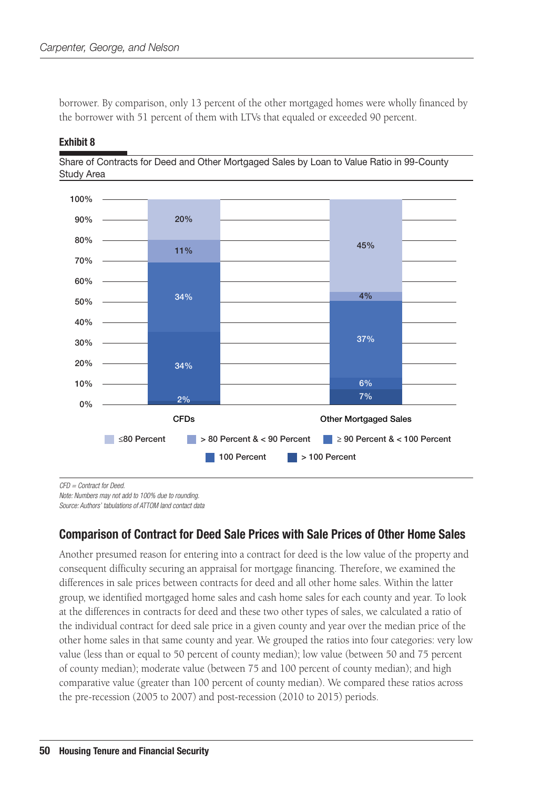borrower. By comparison, only 13 percent of the other mortgaged homes were wholly financed by the borrower with 51 percent of them with LTVs that equaled or exceeded 90 percent.



Exhibit 8

Share of Contracts for Deed and Other Mortgaged Sales by Loan to Value Ratio in 99-County Study Area

*CFD = Contract for Deed.*

*Note: Numbers may not add to 100% due to rounding.*

*Source: Authors' tabulations of ATTOM land contact data*

## Comparison of Contract for Deed Sale Prices with Sale Prices of Other Home Sales

Another presumed reason for entering into a contract for deed is the low value of the property and consequent difficulty securing an appraisal for mortgage financing. Therefore, we examined the differences in sale prices between contracts for deed and all other home sales. Within the latter group, we identified mortgaged home sales and cash home sales for each county and year. To look at the differences in contracts for deed and these two other types of sales, we calculated a ratio of the individual contract for deed sale price in a given county and year over the median price of the other home sales in that same county and year. We grouped the ratios into four categories: very low value (less than or equal to 50 percent of county median); low value (between 50 and 75 percent of county median); moderate value (between 75 and 100 percent of county median); and high comparative value (greater than 100 percent of county median). We compared these ratios across the pre-recession (2005 to 2007) and post-recession (2010 to 2015) periods.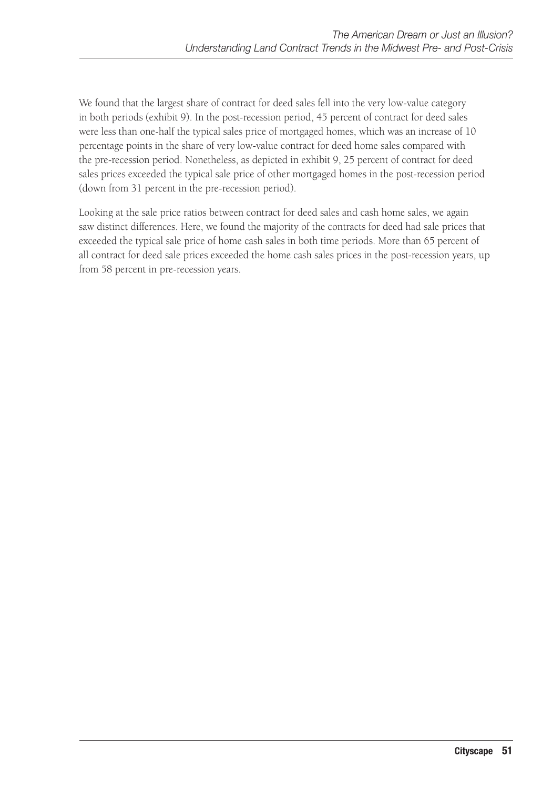We found that the largest share of contract for deed sales fell into the very low-value category in both periods (exhibit 9). In the post-recession period, 45 percent of contract for deed sales were less than one-half the typical sales price of mortgaged homes, which was an increase of 10 percentage points in the share of very low-value contract for deed home sales compared with the pre-recession period. Nonetheless, as depicted in exhibit 9, 25 percent of contract for deed sales prices exceeded the typical sale price of other mortgaged homes in the post-recession period (down from 31 percent in the pre-recession period).

Looking at the sale price ratios between contract for deed sales and cash home sales, we again saw distinct differences. Here, we found the majority of the contracts for deed had sale prices that exceeded the typical sale price of home cash sales in both time periods. More than 65 percent of all contract for deed sale prices exceeded the home cash sales prices in the post-recession years, up from 58 percent in pre-recession years.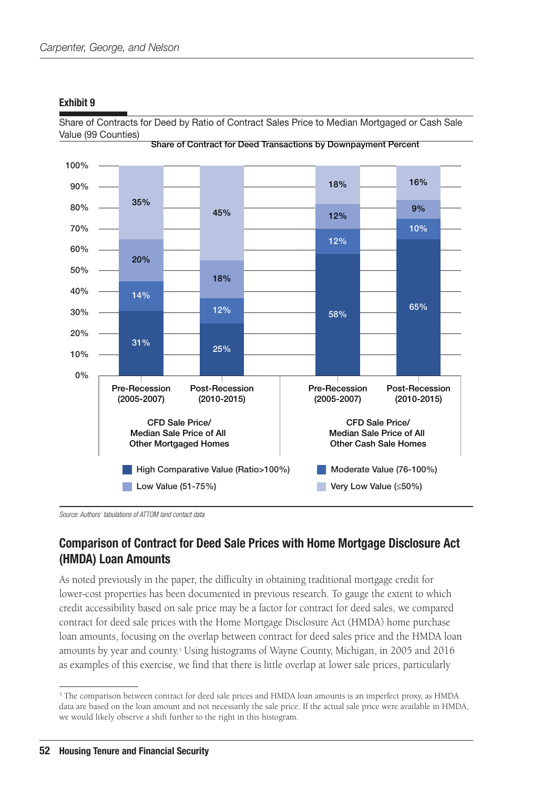

Share of Contracts for Deed by Ratio of Contract Sales Price to Median Mortgaged or Cash Sale

#### *Source: Authors' tabulations of ATTOM land contact data*

### Comparison of Contract for Deed Sale Prices with Home Mortgage Disclosure Act (HMDA) Loan Amounts

As noted previously in the paper, the difficulty in obtaining traditional mortgage credit for lower-cost properties has been documented in previous research. To gauge the extent to which credit accessibility based on sale price may be a factor for contract for deed sales, we compared contract for deed sale prices with the Home Mortgage Disclosure Act (HMDA) home purchase loan amounts, focusing on the overlap between contract for deed sales price and the HMDA loan amounts by year and county.3 Using histograms of Wayne County, Michigan, in 2005 and 2016 as examples of this exercise, we find that there is little overlap at lower sale prices, particularly

<sup>&</sup>lt;sup>3</sup> The comparison between contract for deed sale prices and HMDA loan amounts is an imperfect proxy, as HMDA data are based on the loan amount and not necessarily the sale price. If the actual sale price were available in HMDA, we would likely observe a shift further to the right in this histogram.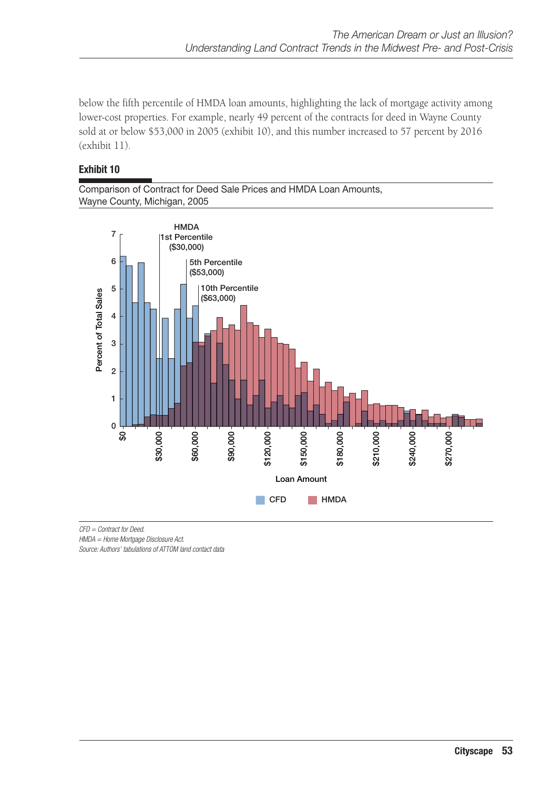below the fifth percentile of HMDA loan amounts, highlighting the lack of mortgage activity among lower-cost properties. For example, nearly 49 percent of the contracts for deed in Wayne County sold at or below \$53,000 in 2005 (exhibit 10), and this number increased to 57 percent by 2016 (exhibit 11).

#### Exhibit 10

Comparison of Contract for Deed Sale Prices and HMDA Loan Amounts, Wayne County, Michigan, 2005



*CFD = Contract for Deed.*

*HMDA = Home Mortgage Disclosure Act.*

*Source: Authors' tabulations of ATTOM land contact data*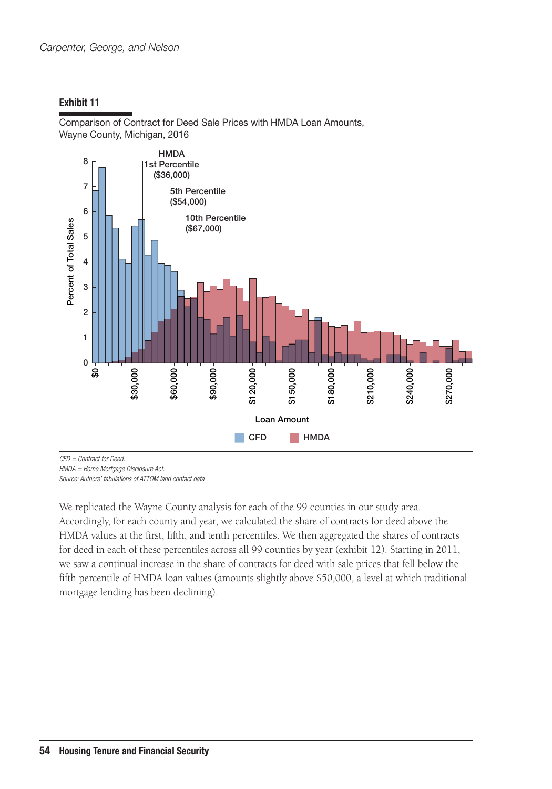**HMDA** 8 1st Percentile  $($36,000)$  $\overline{7}$ 5th Percentile  $($54,000)$ 6 10th Percentile Percent of Total Sales  $($67,000)$ 5  $\overline{\mathbf{4}}$ 3  $\overline{c}$  $\mathbf{1}$  $\overline{0}$ \$30,000 \$90,000 \$120,000 ္တ \$60,000 \$150,000 \$180,000 \$210,000 \$240,000 \$270,000 **Loan Amount**  $\Box$  CFD  $\blacksquare$  HMDA

Comparison of Contract for Deed Sale Prices with HMDA Loan Amounts, Wayne County, Michigan, 2016

*CFD = Contract for Deed. HMDA = Home Mortgage Disclosure Act.*

*Source: Authors' tabulations of ATTOM land contact data*

We replicated the Wayne County analysis for each of the 99 counties in our study area. Accordingly, for each county and year, we calculated the share of contracts for deed above the HMDA values at the first, fifth, and tenth percentiles. We then aggregated the shares of contracts for deed in each of these percentiles across all 99 counties by year (exhibit 12). Starting in 2011, we saw a continual increase in the share of contracts for deed with sale prices that fell below the fifth percentile of HMDA loan values (amounts slightly above \$50,000, a level at which traditional mortgage lending has been declining).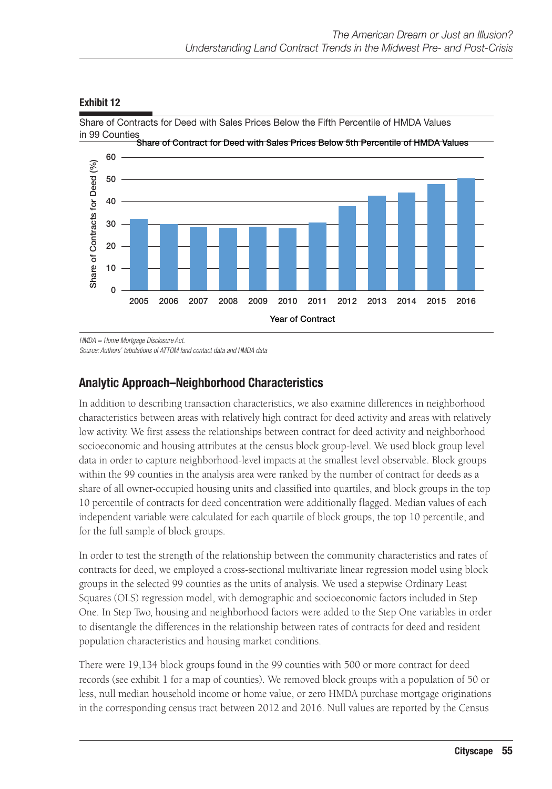

Share of Contracts for Deed with Sales Prices Below the Fifth Percentile of HMDA Values in 99 Counties

*HMDA = Home Mortgage Disclosure Act.*

*Source: Authors' tabulations of ATTOM land contact data and HMDA data* 

## Analytic Approach–Neighborhood Characteristics

In addition to describing transaction characteristics, we also examine differences in neighborhood characteristics between areas with relatively high contract for deed activity and areas with relatively low activity. We first assess the relationships between contract for deed activity and neighborhood socioeconomic and housing attributes at the census block group-level. We used block group level data in order to capture neighborhood-level impacts at the smallest level observable. Block groups within the 99 counties in the analysis area were ranked by the number of contract for deeds as a share of all owner-occupied housing units and classified into quartiles, and block groups in the top 10 percentile of contracts for deed concentration were additionally flagged. Median values of each independent variable were calculated for each quartile of block groups, the top 10 percentile, and for the full sample of block groups.

In order to test the strength of the relationship between the community characteristics and rates of contracts for deed, we employed a cross-sectional multivariate linear regression model using block groups in the selected 99 counties as the units of analysis. We used a stepwise Ordinary Least Squares (OLS) regression model, with demographic and socioeconomic factors included in Step One. In Step Two, housing and neighborhood factors were added to the Step One variables in order to disentangle the differences in the relationship between rates of contracts for deed and resident population characteristics and housing market conditions.

There were 19,134 block groups found in the 99 counties with 500 or more contract for deed records (see exhibit 1 for a map of counties). We removed block groups with a population of 50 or less, null median household income or home value, or zero HMDA purchase mortgage originations in the corresponding census tract between 2012 and 2016. Null values are reported by the Census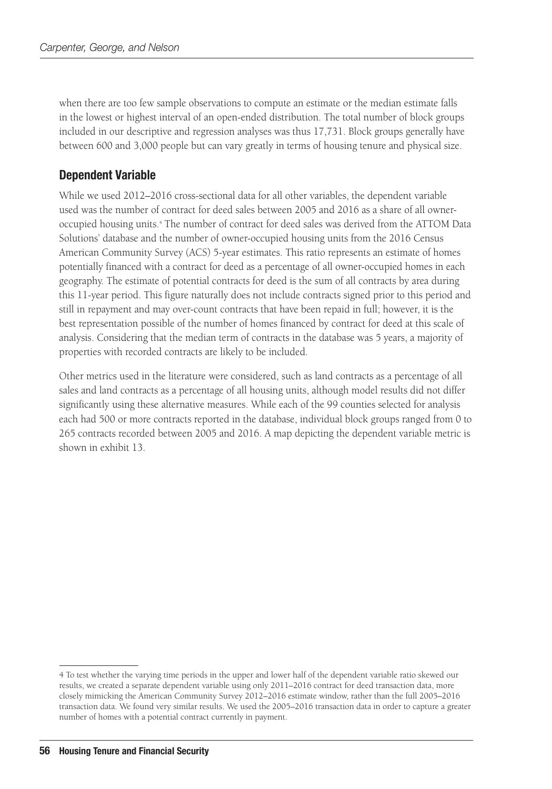when there are too few sample observations to compute an estimate or the median estimate falls in the lowest or highest interval of an open-ended distribution. The total number of block groups included in our descriptive and regression analyses was thus 17,731. Block groups generally have between 600 and 3,000 people but can vary greatly in terms of housing tenure and physical size.

### Dependent Variable

While we used 2012–2016 cross-sectional data for all other variables, the dependent variable used was the number of contract for deed sales between 2005 and 2016 as a share of all owneroccupied housing units.4 The number of contract for deed sales was derived from the ATTOM Data Solutions' database and the number of owner-occupied housing units from the 2016 Census American Community Survey (ACS) 5-year estimates. This ratio represents an estimate of homes potentially financed with a contract for deed as a percentage of all owner-occupied homes in each geography. The estimate of potential contracts for deed is the sum of all contracts by area during this 11-year period. This figure naturally does not include contracts signed prior to this period and still in repayment and may over-count contracts that have been repaid in full; however, it is the best representation possible of the number of homes financed by contract for deed at this scale of analysis. Considering that the median term of contracts in the database was 5 years, a majority of properties with recorded contracts are likely to be included.

Other metrics used in the literature were considered, such as land contracts as a percentage of all sales and land contracts as a percentage of all housing units, although model results did not differ significantly using these alternative measures. While each of the 99 counties selected for analysis each had 500 or more contracts reported in the database, individual block groups ranged from 0 to 265 contracts recorded between 2005 and 2016. A map depicting the dependent variable metric is shown in exhibit 13.

<sup>4</sup> To test whether the varying time periods in the upper and lower half of the dependent variable ratio skewed our results, we created a separate dependent variable using only 2011–2016 contract for deed transaction data, more closely mimicking the American Community Survey 2012–2016 estimate window, rather than the full 2005–2016 transaction data. We found very similar results. We used the 2005–2016 transaction data in order to capture a greater number of homes with a potential contract currently in payment.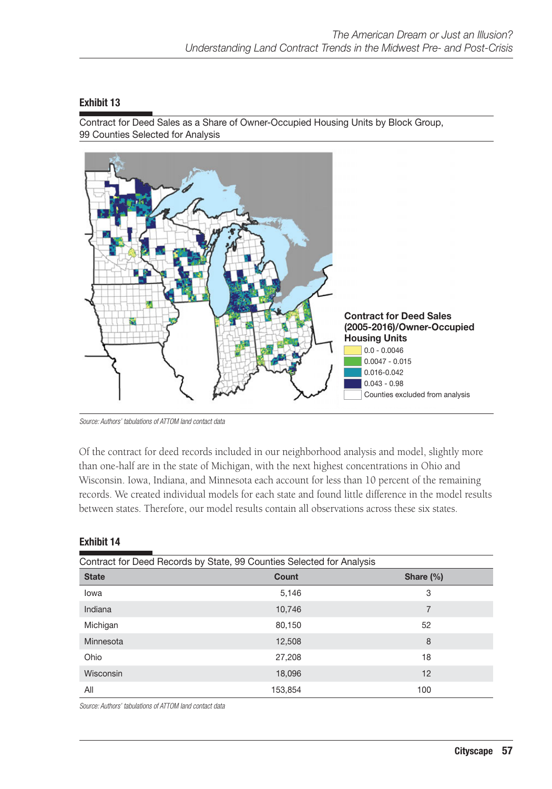Contract for Deed Sales as a Share of Owner-Occupied Housing Units by Block Group, 99 Counties Selected for Analysis



*Source: Authors' tabulations of ATTOM land contact data*

Of the contract for deed records included in our neighborhood analysis and model, slightly more than one-half are in the state of Michigan, with the next highest concentrations in Ohio and Wisconsin. Iowa, Indiana, and Minnesota each account for less than 10 percent of the remaining records. We created individual models for each state and found little difference in the model results between states. Therefore, our model results contain all observations across these six states.

#### Exhibit 14

|              | Contract for Deed Records by State, 99 Counties Selected for Analysis |               |
|--------------|-----------------------------------------------------------------------|---------------|
| <b>State</b> | Count                                                                 | Share $(\% )$ |
| lowa         | 5,146                                                                 | 3             |
| Indiana      | 10,746                                                                | 7             |
| Michigan     | 80,150                                                                | 52            |
| Minnesota    | 12,508                                                                | 8             |
| Ohio         | 27,208                                                                | 18            |
| Wisconsin    | 18,096                                                                | 12            |
| All          | 153,854                                                               | 100           |

*Source: Authors' tabulations of ATTOM land contact data*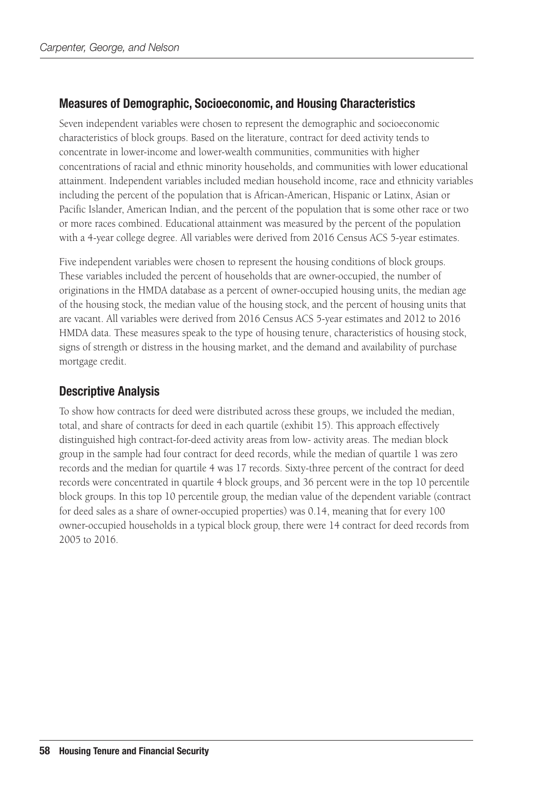## Measures of Demographic, Socioeconomic, and Housing Characteristics

Seven independent variables were chosen to represent the demographic and socioeconomic characteristics of block groups. Based on the literature, contract for deed activity tends to concentrate in lower-income and lower-wealth communities, communities with higher concentrations of racial and ethnic minority households, and communities with lower educational attainment. Independent variables included median household income, race and ethnicity variables including the percent of the population that is African-American, Hispanic or Latinx, Asian or Pacific Islander, American Indian, and the percent of the population that is some other race or two or more races combined. Educational attainment was measured by the percent of the population with a 4-year college degree. All variables were derived from 2016 Census ACS 5-year estimates.

Five independent variables were chosen to represent the housing conditions of block groups. These variables included the percent of households that are owner-occupied, the number of originations in the HMDA database as a percent of owner-occupied housing units, the median age of the housing stock, the median value of the housing stock, and the percent of housing units that are vacant. All variables were derived from 2016 Census ACS 5-year estimates and 2012 to 2016 HMDA data. These measures speak to the type of housing tenure, characteristics of housing stock, signs of strength or distress in the housing market, and the demand and availability of purchase mortgage credit.

## Descriptive Analysis

To show how contracts for deed were distributed across these groups, we included the median, total, and share of contracts for deed in each quartile (exhibit 15). This approach effectively distinguished high contract-for-deed activity areas from low- activity areas. The median block group in the sample had four contract for deed records, while the median of quartile 1 was zero records and the median for quartile 4 was 17 records. Sixty-three percent of the contract for deed records were concentrated in quartile 4 block groups, and 36 percent were in the top 10 percentile block groups. In this top 10 percentile group, the median value of the dependent variable (contract for deed sales as a share of owner-occupied properties) was 0.14, meaning that for every 100 owner-occupied households in a typical block group, there were 14 contract for deed records from 2005 to 2016.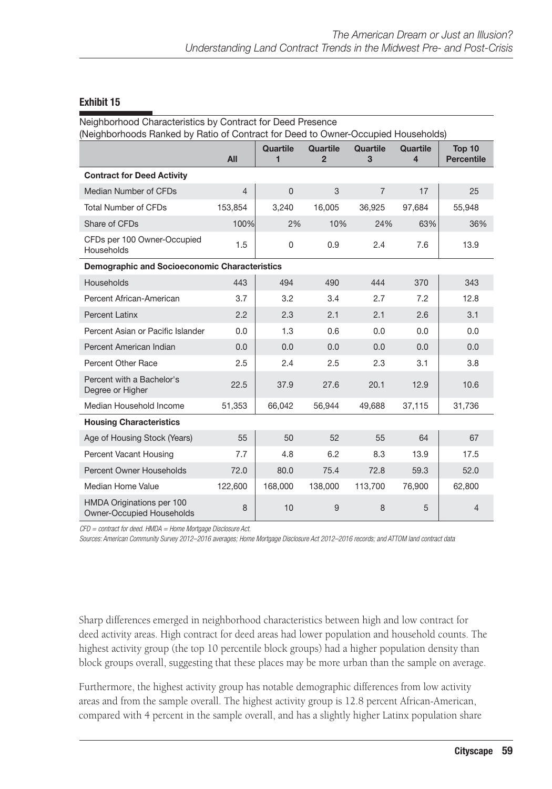| Neighborhood Characteristics by Contract for Deed Presence<br>(Neighborhoods Ranked by Ratio of Contract for Deed to Owner-Occupied Households) |         |               |                            |                      |               |                             |
|-------------------------------------------------------------------------------------------------------------------------------------------------|---------|---------------|----------------------------|----------------------|---------------|-----------------------------|
|                                                                                                                                                 | All     | Quartile<br>1 | Quartile<br>$\overline{2}$ | <b>Quartile</b><br>3 | Quartile<br>4 | Top 10<br><b>Percentile</b> |
| <b>Contract for Deed Activity</b>                                                                                                               |         |               |                            |                      |               |                             |
| Median Number of CFDs                                                                                                                           | 4       | $\Omega$      | 3                          | $\overline{7}$       | 17            | 25                          |
| <b>Total Number of CFDs</b>                                                                                                                     | 153,854 | 3,240         | 16,005                     | 36,925               | 97,684        | 55,948                      |
| Share of CFDs                                                                                                                                   | 100%    | 2%            | 10%                        | 24%                  | 63%           | 36%                         |
| CFDs per 100 Owner-Occupied<br>Households                                                                                                       | 1.5     | 0             | 0.9                        | 2.4                  | 7.6           | 13.9                        |
| <b>Demographic and Socioeconomic Characteristics</b>                                                                                            |         |               |                            |                      |               |                             |
| Households                                                                                                                                      | 443     | 494           | 490                        | 444                  | 370           | 343                         |
| Percent African-American                                                                                                                        | 3.7     | 3.2           | 3.4                        | 2.7                  | 7.2           | 12.8                        |
| <b>Percent Latinx</b>                                                                                                                           | 2.2     | 2.3           | 2.1                        | 2.1                  | 2.6           | 3.1                         |
| Percent Asian or Pacific Islander                                                                                                               | 0.0     | 1.3           | 0.6                        | 0.0                  | 0.0           | 0.0                         |
| Percent American Indian                                                                                                                         | 0.0     | 0.0           | 0.0                        | 0.0                  | 0.0           | 0.0                         |
| <b>Percent Other Race</b>                                                                                                                       | 2.5     | 2.4           | 2.5                        | 2.3                  | 3.1           | 3.8                         |
| Percent with a Bachelor's<br>Degree or Higher                                                                                                   | 22.5    | 37.9          | 27.6                       | 20.1                 | 12.9          | 10.6                        |
| Median Household Income                                                                                                                         | 51,353  | 66,042        | 56,944                     | 49,688               | 37,115        | 31,736                      |
| <b>Housing Characteristics</b>                                                                                                                  |         |               |                            |                      |               |                             |
| Age of Housing Stock (Years)                                                                                                                    | 55      | 50            | 52                         | 55                   | 64            | 67                          |
| <b>Percent Vacant Housing</b>                                                                                                                   | 7.7     | 4.8           | 6.2                        | 8.3                  | 13.9          | 17.5                        |
| Percent Owner Households                                                                                                                        | 72.0    | 80.0          | 75.4                       | 72.8                 | 59.3          | 52.0                        |
| Median Home Value                                                                                                                               | 122,600 | 168,000       | 138,000                    | 113,700              | 76,900        | 62,800                      |
| HMDA Originations per 100<br><b>Owner-Occupied Households</b>                                                                                   | 8       | 10            | 9                          | 8                    | 5             | 4                           |

*CFD = contract for deed. HMDA = Home Mortgage Disclosure Act.*

*Sources: American Community Survey 2012–2016 averages; Home Mortgage Disclosure Act 2012–2016 records; and ATTOM land contract data* 

Sharp differences emerged in neighborhood characteristics between high and low contract for deed activity areas. High contract for deed areas had lower population and household counts. The highest activity group (the top 10 percentile block groups) had a higher population density than block groups overall, suggesting that these places may be more urban than the sample on average.

Furthermore, the highest activity group has notable demographic differences from low activity areas and from the sample overall. The highest activity group is 12.8 percent African-American, compared with 4 percent in the sample overall, and has a slightly higher Latinx population share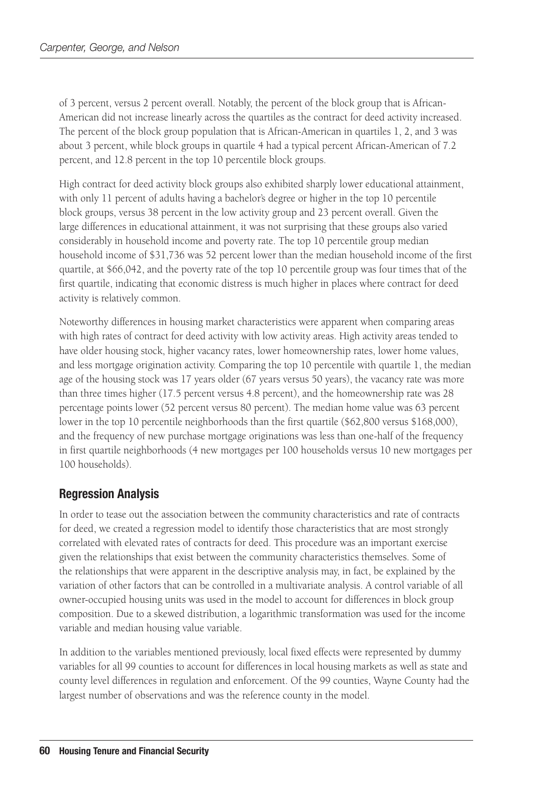of 3 percent, versus 2 percent overall. Notably, the percent of the block group that is African-American did not increase linearly across the quartiles as the contract for deed activity increased. The percent of the block group population that is African-American in quartiles 1, 2, and 3 was about 3 percent, while block groups in quartile 4 had a typical percent African-American of 7.2 percent, and 12.8 percent in the top 10 percentile block groups.

High contract for deed activity block groups also exhibited sharply lower educational attainment, with only 11 percent of adults having a bachelor's degree or higher in the top 10 percentile block groups, versus 38 percent in the low activity group and 23 percent overall. Given the large differences in educational attainment, it was not surprising that these groups also varied considerably in household income and poverty rate. The top 10 percentile group median household income of \$31,736 was 52 percent lower than the median household income of the first quartile, at \$66,042, and the poverty rate of the top 10 percentile group was four times that of the first quartile, indicating that economic distress is much higher in places where contract for deed activity is relatively common.

Noteworthy differences in housing market characteristics were apparent when comparing areas with high rates of contract for deed activity with low activity areas. High activity areas tended to have older housing stock, higher vacancy rates, lower homeownership rates, lower home values, and less mortgage origination activity. Comparing the top 10 percentile with quartile 1, the median age of the housing stock was 17 years older (67 years versus 50 years), the vacancy rate was more than three times higher (17.5 percent versus 4.8 percent), and the homeownership rate was 28 percentage points lower (52 percent versus 80 percent). The median home value was 63 percent lower in the top 10 percentile neighborhoods than the first quartile (\$62,800 versus \$168,000), and the frequency of new purchase mortgage originations was less than one-half of the frequency in first quartile neighborhoods (4 new mortgages per 100 households versus 10 new mortgages per 100 households).

## Regression Analysis

In order to tease out the association between the community characteristics and rate of contracts for deed, we created a regression model to identify those characteristics that are most strongly correlated with elevated rates of contracts for deed. This procedure was an important exercise given the relationships that exist between the community characteristics themselves. Some of the relationships that were apparent in the descriptive analysis may, in fact, be explained by the variation of other factors that can be controlled in a multivariate analysis. A control variable of all owner-occupied housing units was used in the model to account for differences in block group composition. Due to a skewed distribution, a logarithmic transformation was used for the income variable and median housing value variable.

In addition to the variables mentioned previously, local fixed effects were represented by dummy variables for all 99 counties to account for differences in local housing markets as well as state and county level differences in regulation and enforcement. Of the 99 counties, Wayne County had the largest number of observations and was the reference county in the model.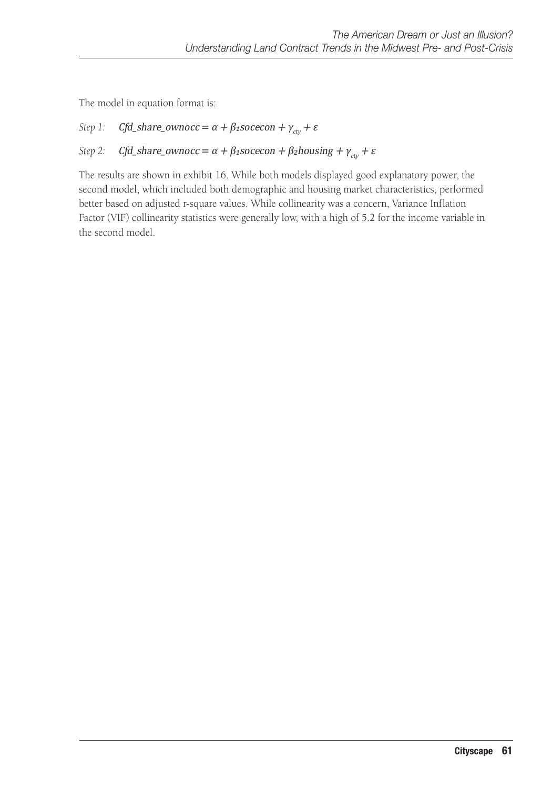The model in equation format is:

### *Step 1: Cfd\_share\_ownocc* =  $\alpha + \beta_1$ socecon +  $\gamma_{\text{cty}}$  + ε

#### *Step 2:* Cfd\_share\_ownocc =  $\alpha + \beta_1$ socecon +  $\beta_2$ housing +  $\gamma_{\text{ctv}}$  + ε

The results are shown in exhibit 16. While both models displayed good explanatory power, the second model, which included both demographic and housing market characteristics, performed better based on adjusted r-square values. While collinearity was a concern, Variance Inflation Factor (VIF) collinearity statistics were generally low, with a high of 5.2 for the income variable in the second model.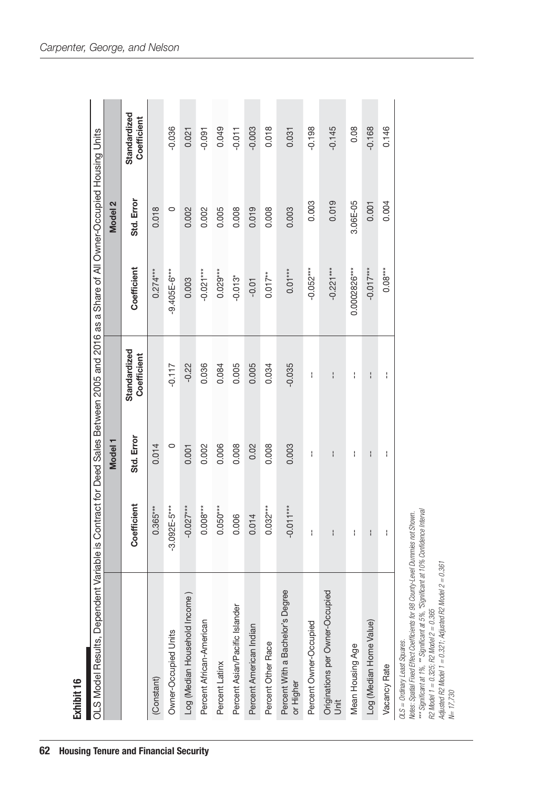| Exhibit 16                                                                                                                            |                  |                    |                             |                |            |                             |
|---------------------------------------------------------------------------------------------------------------------------------------|------------------|--------------------|-----------------------------|----------------|------------|-----------------------------|
| OLS Model Results, Dependent Variable is Contract for Deed Sales Between 2005 and 2016 as a Share of All Owner-Occupied Housing Units |                  |                    |                             |                |            |                             |
|                                                                                                                                       |                  | Model <sub>1</sub> |                             |                | Model 2    |                             |
|                                                                                                                                       | Coefficient      | Std. Error         | Standardized<br>Coefficient | Coefficient    | Std. Error | Standardized<br>Coefficient |
| (Constant)                                                                                                                            | $0.365***$       | 0.014              |                             | $0.274***$     | 0.018      |                             |
| Owner-Occupied Units                                                                                                                  | $-3.092E - 5***$ | $\circ$            | $-0.117$                    | $-9.405E-6***$ | $\circ$    | $-0.036$                    |
| Log (Median Household Income)                                                                                                         | $-0.027***$      | 0.001              | $-0.22$                     | 0.003          | 0.002      | 0.021                       |
| Percent African-American                                                                                                              | $0.008***$       | 0.002              | 0.036                       | $-0.021***$    | 0.002      | $-0.091$                    |
| Percent Latinx                                                                                                                        | $0.050***$       | 0.006              | 0.084                       | $0.029***$     | 0.005      | 0.049                       |
| Percent Asian/Pacific Islander                                                                                                        | 0.006            | 0.008              | 0.005                       | $-0.013*$      | 0.008      | $-0.011$                    |
| Percent American Indian                                                                                                               | 0.014            | 0.02               | 0.005                       | $-0.01$        | 0.019      | $-0.003$                    |
| Percent Other Race                                                                                                                    | $0.032***$       | 0.008              | 0.034                       | $0.017***$     | 0.008      | 0.018                       |
| Percent With a Bachelor's Degree<br>or Higher                                                                                         | $-0.011***$      | 0.003              | $-0.035$                    | $0.01***$      | 0.003      | 0.031                       |
| Percent Owner-Occupied                                                                                                                | ł                | ł                  | ł                           | $-0.052***$    | 0.003      | $-0.198$                    |
| Originations per Owner-Occupied<br>Unit                                                                                               | ł                | ł                  | ł                           | $-0.221***$    | 0.019      | $-0.145$                    |
| Mean Housing Age                                                                                                                      | ł                | ł                  | ł                           | 0.0002826***   | 3.06E-05   | 0.08                        |
| Log (Median Home Value)                                                                                                               | $\mathbf{I}$     | ł                  | $\mathbf{I}$                | $-0.017***$    | 0.001      | $-0.168$                    |
| Vacancy Rate                                                                                                                          | ł                | ł                  | ł                           | $0.08***$      | 0.004      | 0.146                       |
|                                                                                                                                       |                  |                    |                             |                |            |                             |

*OLS = Ordinary Least Squares.*

01.S = Ordinary Least Squares.<br>Notes: Spatial Fixed Effect Coefficients for 98 Courty-Level Dummies not Shown.<br>\*\*\* Significant at 1%, \*\* Significant at 5%, \*Significant at 10% Comfidence Interval<br>R2 Model 1 = 0.325; R2 Mod *Notes: Spatial Fixed Effect Coefficients for 98 County-Level Dummies not Shown.*

*\*\*\* Significant at 1%, \*\* Significant at 5%, \*Significant at 10% Confidence Interval*

*R2 Model 1 = 0.325; R2 Model 2 = 0.365*

*Adjusted R2 Model 1 = 0.321; Adjusted R2 Model 2 = 0.361* Adjusted R2 Model 1 = 0.321; Adjusted R2 Model 2 = 0.361<br>N= 17,730

Exhibit 16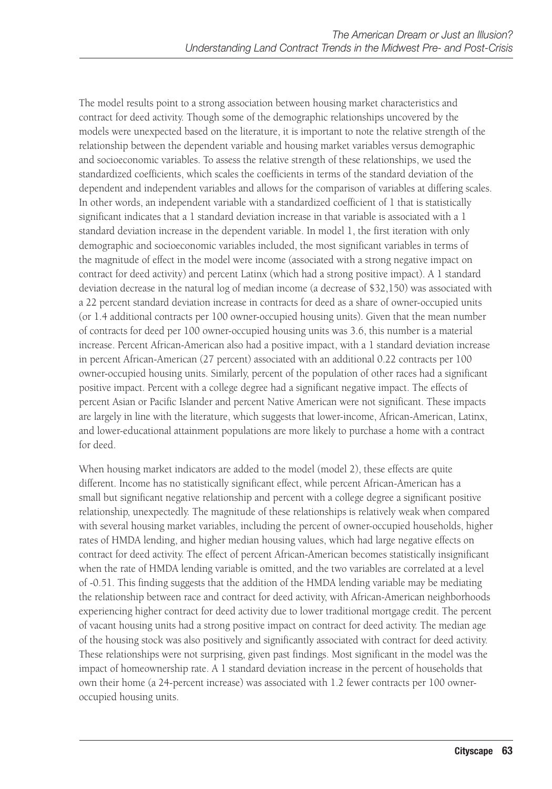The model results point to a strong association between housing market characteristics and contract for deed activity. Though some of the demographic relationships uncovered by the models were unexpected based on the literature, it is important to note the relative strength of the relationship between the dependent variable and housing market variables versus demographic and socioeconomic variables. To assess the relative strength of these relationships, we used the standardized coefficients, which scales the coefficients in terms of the standard deviation of the dependent and independent variables and allows for the comparison of variables at differing scales. In other words, an independent variable with a standardized coefficient of 1 that is statistically significant indicates that a 1 standard deviation increase in that variable is associated with a 1 standard deviation increase in the dependent variable. In model 1, the first iteration with only demographic and socioeconomic variables included, the most significant variables in terms of the magnitude of effect in the model were income (associated with a strong negative impact on contract for deed activity) and percent Latinx (which had a strong positive impact). A 1 standard deviation decrease in the natural log of median income (a decrease of \$32,150) was associated with a 22 percent standard deviation increase in contracts for deed as a share of owner-occupied units (or 1.4 additional contracts per 100 owner-occupied housing units). Given that the mean number of contracts for deed per 100 owner-occupied housing units was 3.6, this number is a material increase. Percent African-American also had a positive impact, with a 1 standard deviation increase in percent African-American (27 percent) associated with an additional 0.22 contracts per 100 owner-occupied housing units. Similarly, percent of the population of other races had a significant positive impact. Percent with a college degree had a significant negative impact. The effects of percent Asian or Pacific Islander and percent Native American were not significant. These impacts are largely in line with the literature, which suggests that lower-income, African-American, Latinx, and lower-educational attainment populations are more likely to purchase a home with a contract for deed.

When housing market indicators are added to the model (model 2), these effects are quite different. Income has no statistically significant effect, while percent African-American has a small but significant negative relationship and percent with a college degree a significant positive relationship, unexpectedly. The magnitude of these relationships is relatively weak when compared with several housing market variables, including the percent of owner-occupied households, higher rates of HMDA lending, and higher median housing values, which had large negative effects on contract for deed activity. The effect of percent African-American becomes statistically insignificant when the rate of HMDA lending variable is omitted, and the two variables are correlated at a level of -0.51. This finding suggests that the addition of the HMDA lending variable may be mediating the relationship between race and contract for deed activity, with African-American neighborhoods experiencing higher contract for deed activity due to lower traditional mortgage credit. The percent of vacant housing units had a strong positive impact on contract for deed activity. The median age of the housing stock was also positively and significantly associated with contract for deed activity. These relationships were not surprising, given past findings. Most significant in the model was the impact of homeownership rate. A 1 standard deviation increase in the percent of households that own their home (a 24-percent increase) was associated with 1.2 fewer contracts per 100 owneroccupied housing units.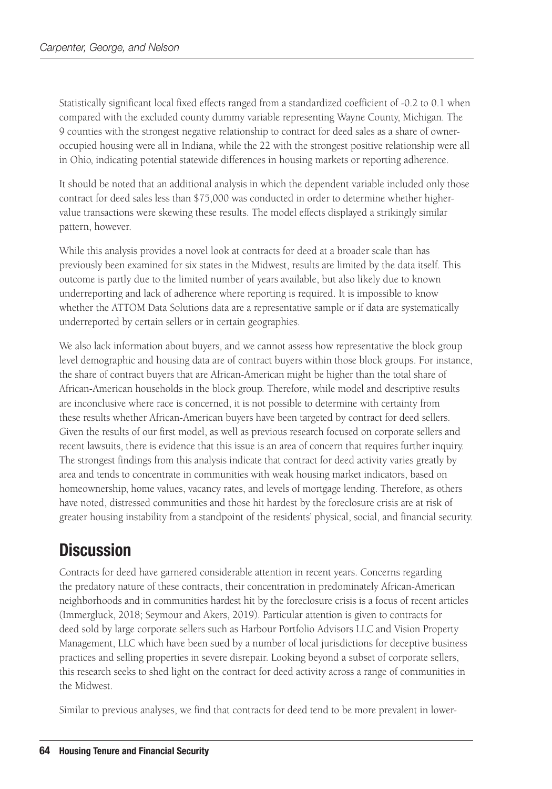Statistically significant local fixed effects ranged from a standardized coefficient of -0.2 to 0.1 when compared with the excluded county dummy variable representing Wayne County, Michigan. The 9 counties with the strongest negative relationship to contract for deed sales as a share of owneroccupied housing were all in Indiana, while the 22 with the strongest positive relationship were all in Ohio, indicating potential statewide differences in housing markets or reporting adherence.

It should be noted that an additional analysis in which the dependent variable included only those contract for deed sales less than \$75,000 was conducted in order to determine whether highervalue transactions were skewing these results. The model effects displayed a strikingly similar pattern, however.

While this analysis provides a novel look at contracts for deed at a broader scale than has previously been examined for six states in the Midwest, results are limited by the data itself. This outcome is partly due to the limited number of years available, but also likely due to known underreporting and lack of adherence where reporting is required. It is impossible to know whether the ATTOM Data Solutions data are a representative sample or if data are systematically underreported by certain sellers or in certain geographies.

We also lack information about buyers, and we cannot assess how representative the block group level demographic and housing data are of contract buyers within those block groups. For instance, the share of contract buyers that are African-American might be higher than the total share of African-American households in the block group. Therefore, while model and descriptive results are inconclusive where race is concerned, it is not possible to determine with certainty from these results whether African-American buyers have been targeted by contract for deed sellers. Given the results of our first model, as well as previous research focused on corporate sellers and recent lawsuits, there is evidence that this issue is an area of concern that requires further inquiry. The strongest findings from this analysis indicate that contract for deed activity varies greatly by area and tends to concentrate in communities with weak housing market indicators, based on homeownership, home values, vacancy rates, and levels of mortgage lending. Therefore, as others have noted, distressed communities and those hit hardest by the foreclosure crisis are at risk of greater housing instability from a standpoint of the residents' physical, social, and financial security.

## **Discussion**

Contracts for deed have garnered considerable attention in recent years. Concerns regarding the predatory nature of these contracts, their concentration in predominately African-American neighborhoods and in communities hardest hit by the foreclosure crisis is a focus of recent articles (Immergluck, 2018; Seymour and Akers, 2019). Particular attention is given to contracts for deed sold by large corporate sellers such as Harbour Portfolio Advisors LLC and Vision Property Management, LLC which have been sued by a number of local jurisdictions for deceptive business practices and selling properties in severe disrepair. Looking beyond a subset of corporate sellers, this research seeks to shed light on the contract for deed activity across a range of communities in the Midwest.

Similar to previous analyses, we find that contracts for deed tend to be more prevalent in lower-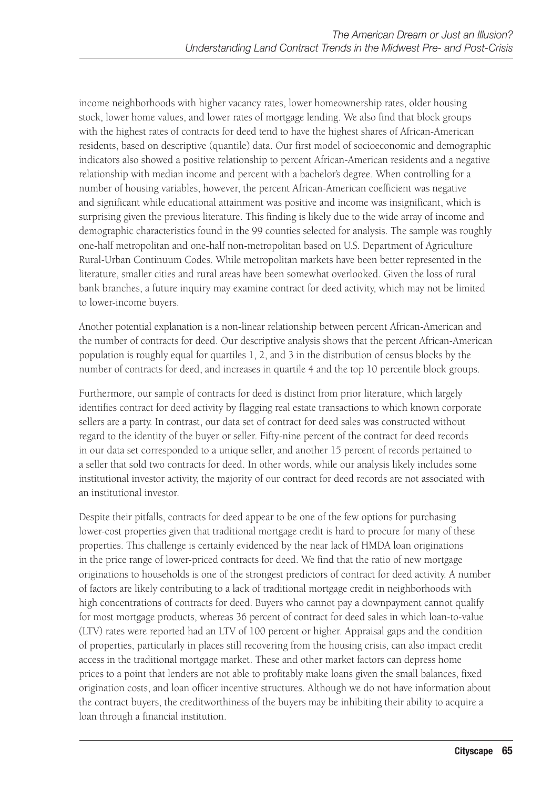income neighborhoods with higher vacancy rates, lower homeownership rates, older housing stock, lower home values, and lower rates of mortgage lending. We also find that block groups with the highest rates of contracts for deed tend to have the highest shares of African-American residents, based on descriptive (quantile) data. Our first model of socioeconomic and demographic indicators also showed a positive relationship to percent African-American residents and a negative relationship with median income and percent with a bachelor's degree. When controlling for a number of housing variables, however, the percent African-American coefficient was negative and significant while educational attainment was positive and income was insignificant, which is surprising given the previous literature. This finding is likely due to the wide array of income and demographic characteristics found in the 99 counties selected for analysis. The sample was roughly one-half metropolitan and one-half non-metropolitan based on U.S. Department of Agriculture Rural-Urban Continuum Codes. While metropolitan markets have been better represented in the literature, smaller cities and rural areas have been somewhat overlooked. Given the loss of rural bank branches, a future inquiry may examine contract for deed activity, which may not be limited to lower-income buyers.

Another potential explanation is a non-linear relationship between percent African-American and the number of contracts for deed. Our descriptive analysis shows that the percent African-American population is roughly equal for quartiles 1, 2, and 3 in the distribution of census blocks by the number of contracts for deed, and increases in quartile 4 and the top 10 percentile block groups.

Furthermore, our sample of contracts for deed is distinct from prior literature, which largely identifies contract for deed activity by flagging real estate transactions to which known corporate sellers are a party. In contrast, our data set of contract for deed sales was constructed without regard to the identity of the buyer or seller. Fifty-nine percent of the contract for deed records in our data set corresponded to a unique seller, and another 15 percent of records pertained to a seller that sold two contracts for deed. In other words, while our analysis likely includes some institutional investor activity, the majority of our contract for deed records are not associated with an institutional investor.

Despite their pitfalls, contracts for deed appear to be one of the few options for purchasing lower-cost properties given that traditional mortgage credit is hard to procure for many of these properties. This challenge is certainly evidenced by the near lack of HMDA loan originations in the price range of lower-priced contracts for deed. We find that the ratio of new mortgage originations to households is one of the strongest predictors of contract for deed activity. A number of factors are likely contributing to a lack of traditional mortgage credit in neighborhoods with high concentrations of contracts for deed. Buyers who cannot pay a downpayment cannot qualify for most mortgage products, whereas 36 percent of contract for deed sales in which loan-to-value (LTV) rates were reported had an LTV of 100 percent or higher. Appraisal gaps and the condition of properties, particularly in places still recovering from the housing crisis, can also impact credit access in the traditional mortgage market. These and other market factors can depress home prices to a point that lenders are not able to profitably make loans given the small balances, fixed origination costs, and loan officer incentive structures. Although we do not have information about the contract buyers, the creditworthiness of the buyers may be inhibiting their ability to acquire a loan through a financial institution.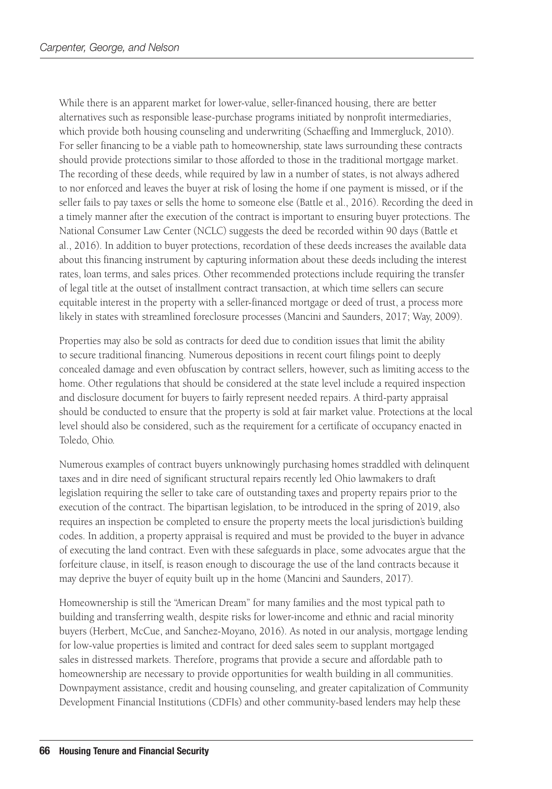While there is an apparent market for lower-value, seller-financed housing, there are better alternatives such as responsible lease-purchase programs initiated by nonprofit intermediaries, which provide both housing counseling and underwriting (Schaeffing and Immergluck, 2010). For seller financing to be a viable path to homeownership, state laws surrounding these contracts should provide protections similar to those afforded to those in the traditional mortgage market. The recording of these deeds, while required by law in a number of states, is not always adhered to nor enforced and leaves the buyer at risk of losing the home if one payment is missed, or if the seller fails to pay taxes or sells the home to someone else (Battle et al., 2016). Recording the deed in a timely manner after the execution of the contract is important to ensuring buyer protections. The National Consumer Law Center (NCLC) suggests the deed be recorded within 90 days (Battle et al., 2016). In addition to buyer protections, recordation of these deeds increases the available data about this financing instrument by capturing information about these deeds including the interest rates, loan terms, and sales prices. Other recommended protections include requiring the transfer of legal title at the outset of installment contract transaction, at which time sellers can secure equitable interest in the property with a seller-financed mortgage or deed of trust, a process more likely in states with streamlined foreclosure processes (Mancini and Saunders, 2017; Way, 2009).

Properties may also be sold as contracts for deed due to condition issues that limit the ability to secure traditional financing. Numerous depositions in recent court filings point to deeply concealed damage and even obfuscation by contract sellers, however, such as limiting access to the home. Other regulations that should be considered at the state level include a required inspection and disclosure document for buyers to fairly represent needed repairs. A third-party appraisal should be conducted to ensure that the property is sold at fair market value. Protections at the local level should also be considered, such as the requirement for a certificate of occupancy enacted in Toledo, Ohio.

Numerous examples of contract buyers unknowingly purchasing homes straddled with delinquent taxes and in dire need of significant structural repairs recently led Ohio lawmakers to draft legislation requiring the seller to take care of outstanding taxes and property repairs prior to the execution of the contract. The bipartisan legislation, to be introduced in the spring of 2019, also requires an inspection be completed to ensure the property meets the local jurisdiction's building codes. In addition, a property appraisal is required and must be provided to the buyer in advance of executing the land contract. Even with these safeguards in place, some advocates argue that the forfeiture clause, in itself, is reason enough to discourage the use of the land contracts because it may deprive the buyer of equity built up in the home (Mancini and Saunders, 2017).

Homeownership is still the "American Dream" for many families and the most typical path to building and transferring wealth, despite risks for lower-income and ethnic and racial minority buyers (Herbert, McCue, and Sanchez-Moyano, 2016). As noted in our analysis, mortgage lending for low-value properties is limited and contract for deed sales seem to supplant mortgaged sales in distressed markets. Therefore, programs that provide a secure and affordable path to homeownership are necessary to provide opportunities for wealth building in all communities. Downpayment assistance, credit and housing counseling, and greater capitalization of Community Development Financial Institutions (CDFIs) and other community-based lenders may help these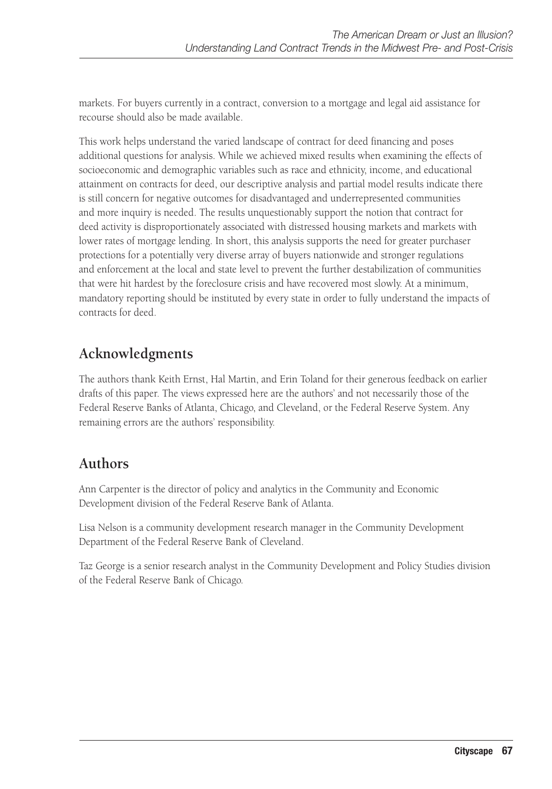markets. For buyers currently in a contract, conversion to a mortgage and legal aid assistance for recourse should also be made available.

This work helps understand the varied landscape of contract for deed financing and poses additional questions for analysis. While we achieved mixed results when examining the effects of socioeconomic and demographic variables such as race and ethnicity, income, and educational attainment on contracts for deed, our descriptive analysis and partial model results indicate there is still concern for negative outcomes for disadvantaged and underrepresented communities and more inquiry is needed. The results unquestionably support the notion that contract for deed activity is disproportionately associated with distressed housing markets and markets with lower rates of mortgage lending. In short, this analysis supports the need for greater purchaser protections for a potentially very diverse array of buyers nationwide and stronger regulations and enforcement at the local and state level to prevent the further destabilization of communities that were hit hardest by the foreclosure crisis and have recovered most slowly. At a minimum, mandatory reporting should be instituted by every state in order to fully understand the impacts of contracts for deed.

## **Acknowledgments**

The authors thank Keith Ernst, Hal Martin, and Erin Toland for their generous feedback on earlier drafts of this paper. The views expressed here are the authors' and not necessarily those of the Federal Reserve Banks of Atlanta, Chicago, and Cleveland, or the Federal Reserve System. Any remaining errors are the authors' responsibility.

## **Authors**

Ann Carpenter is the director of policy and analytics in the Community and Economic Development division of the Federal Reserve Bank of Atlanta.

Lisa Nelson is a community development research manager in the Community Development Department of the Federal Reserve Bank of Cleveland.

Taz George is a senior research analyst in the Community Development and Policy Studies division of the Federal Reserve Bank of Chicago.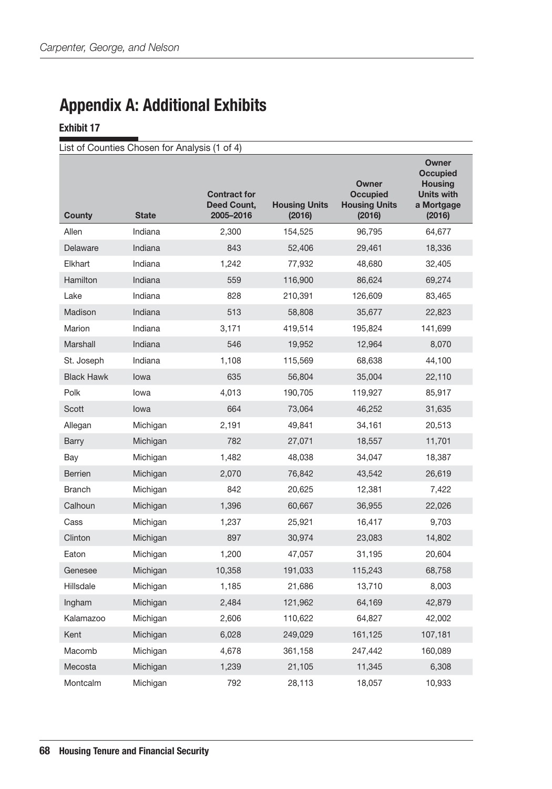## Appendix A: Additional Exhibits

#### Exhibit 17

|                   | List of Counties Chosen for Analysis (1 of 4) |                                                 |                                |                                                            |                                                                                         |
|-------------------|-----------------------------------------------|-------------------------------------------------|--------------------------------|------------------------------------------------------------|-----------------------------------------------------------------------------------------|
| <b>County</b>     | <b>State</b>                                  | <b>Contract for</b><br>Deed Count,<br>2005-2016 | <b>Housing Units</b><br>(2016) | Owner<br><b>Occupied</b><br><b>Housing Units</b><br>(2016) | Owner<br><b>Occupied</b><br><b>Housing</b><br><b>Units with</b><br>a Mortgage<br>(2016) |
| Allen             | Indiana                                       | 2,300                                           | 154,525                        | 96,795                                                     | 64,677                                                                                  |
| Delaware          | Indiana                                       | 843                                             | 52,406                         | 29,461                                                     | 18,336                                                                                  |
| Elkhart           | Indiana                                       | 1,242                                           | 77,932                         | 48,680                                                     | 32,405                                                                                  |
| Hamilton          | Indiana                                       | 559                                             | 116,900                        | 86,624                                                     | 69,274                                                                                  |
| Lake              | Indiana                                       | 828                                             | 210,391                        | 126,609                                                    | 83,465                                                                                  |
| Madison           | Indiana                                       | 513                                             | 58,808                         | 35,677                                                     | 22,823                                                                                  |
| Marion            | Indiana                                       | 3,171                                           | 419,514                        | 195,824                                                    | 141,699                                                                                 |
| Marshall          | Indiana                                       | 546                                             | 19,952                         | 12,964                                                     | 8,070                                                                                   |
| St. Joseph        | Indiana                                       | 1,108                                           | 115,569                        | 68,638                                                     | 44,100                                                                                  |
| <b>Black Hawk</b> | lowa                                          | 635                                             | 56,804                         | 35,004                                                     | 22,110                                                                                  |
| Polk              | lowa                                          | 4,013                                           | 190,705                        | 119,927                                                    | 85,917                                                                                  |
| Scott             | lowa                                          | 664                                             | 73,064                         | 46,252                                                     | 31,635                                                                                  |
| Allegan           | Michigan                                      | 2,191                                           | 49,841                         | 34,161                                                     | 20,513                                                                                  |
| <b>Barry</b>      | Michigan                                      | 782                                             | 27,071                         | 18,557                                                     | 11,701                                                                                  |
| Bay               | Michigan                                      | 1,482                                           | 48,038                         | 34,047                                                     | 18,387                                                                                  |
| <b>Berrien</b>    | Michigan                                      | 2,070                                           | 76,842                         | 43,542                                                     | 26,619                                                                                  |
| <b>Branch</b>     | Michigan                                      | 842                                             | 20,625                         | 12,381                                                     | 7,422                                                                                   |
| Calhoun           | Michigan                                      | 1,396                                           | 60,667                         | 36,955                                                     | 22,026                                                                                  |
| Cass              | Michigan                                      | 1,237                                           | 25,921                         | 16,417                                                     | 9,703                                                                                   |
| Clinton           | Michigan                                      | 897                                             | 30,974                         | 23,083                                                     | 14,802                                                                                  |
| Eaton             | Michigan                                      | 1,200                                           | 47,057                         | 31,195                                                     | 20,604                                                                                  |
| Genesee           | Michigan                                      | 10,358                                          | 191,033                        | 115,243                                                    | 68,758                                                                                  |
| Hillsdale         | Michigan                                      | 1,185                                           | 21,686                         | 13,710                                                     | 8,003                                                                                   |
| Ingham            | Michigan                                      | 2,484                                           | 121,962                        | 64,169                                                     | 42,879                                                                                  |
| Kalamazoo         | Michigan                                      | 2,606                                           | 110,622                        | 64,827                                                     | 42,002                                                                                  |
| Kent              | Michigan                                      | 6,028                                           | 249,029                        | 161,125                                                    | 107,181                                                                                 |
| Macomb            | Michigan                                      | 4,678                                           | 361,158                        | 247,442                                                    | 160,089                                                                                 |
| Mecosta           | Michigan                                      | 1,239                                           | 21,105                         | 11,345                                                     | 6,308                                                                                   |
| Montcalm          | Michigan                                      | 792                                             | 28,113                         | 18,057                                                     | 10,933                                                                                  |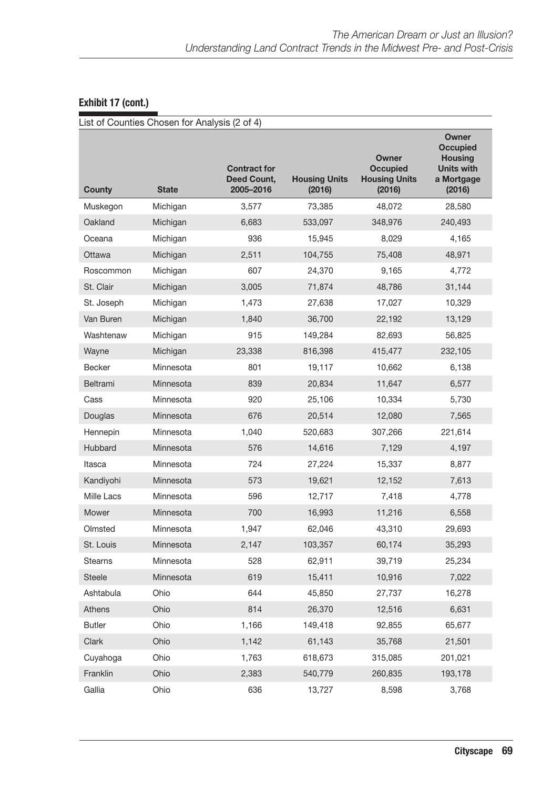| Exhibit 17 (cont.) |  |  |
|--------------------|--|--|
|--------------------|--|--|

|                | List of Counties Chosen for Analysis (2 of 4) |                                                 |                                |                                                            |                                                                                  |
|----------------|-----------------------------------------------|-------------------------------------------------|--------------------------------|------------------------------------------------------------|----------------------------------------------------------------------------------|
| County         | <b>State</b>                                  | <b>Contract for</b><br>Deed Count,<br>2005-2016 | <b>Housing Units</b><br>(2016) | Owner<br><b>Occupied</b><br><b>Housing Units</b><br>(2016) | Owner<br><b>Occupied</b><br><b>Housing</b><br>Units with<br>a Mortgage<br>(2016) |
| Muskegon       | Michigan                                      | 3,577                                           | 73,385                         | 48,072                                                     | 28,580                                                                           |
| Oakland        | Michigan                                      | 6,683                                           | 533,097                        | 348,976                                                    | 240,493                                                                          |
| Oceana         | Michigan                                      | 936                                             | 15,945                         | 8,029                                                      | 4,165                                                                            |
| Ottawa         | Michigan                                      | 2,511                                           | 104,755                        | 75,408                                                     | 48,971                                                                           |
| Roscommon      | Michigan                                      | 607                                             | 24,370                         | 9,165                                                      | 4,772                                                                            |
| St. Clair      | Michigan                                      | 3,005                                           | 71,874                         | 48,786                                                     | 31,144                                                                           |
| St. Joseph     | Michigan                                      | 1,473                                           | 27,638                         | 17,027                                                     | 10,329                                                                           |
| Van Buren      | Michigan                                      | 1,840                                           | 36,700                         | 22,192                                                     | 13,129                                                                           |
| Washtenaw      | Michigan                                      | 915                                             | 149,284                        | 82,693                                                     | 56,825                                                                           |
| Wayne          | Michigan                                      | 23,338                                          | 816,398                        | 415,477                                                    | 232,105                                                                          |
| <b>Becker</b>  | Minnesota                                     | 801                                             | 19,117                         | 10,662                                                     | 6,138                                                                            |
| Beltrami       | Minnesota                                     | 839                                             | 20,834                         | 11,647                                                     | 6,577                                                                            |
| Cass           | Minnesota                                     | 920                                             | 25,106                         | 10,334                                                     | 5,730                                                                            |
| Douglas        | Minnesota                                     | 676                                             | 20,514                         | 12,080                                                     | 7,565                                                                            |
| Hennepin       | Minnesota                                     | 1,040                                           | 520,683                        | 307,266                                                    | 221,614                                                                          |
| Hubbard        | Minnesota                                     | 576                                             | 14,616                         | 7,129                                                      | 4,197                                                                            |
| Itasca         | Minnesota                                     | 724                                             | 27,224                         | 15,337                                                     | 8,877                                                                            |
| Kandiyohi      | Minnesota                                     | 573                                             | 19,621                         | 12,152                                                     | 7,613                                                                            |
| Mille Lacs     | Minnesota                                     | 596                                             | 12,717                         | 7,418                                                      | 4,778                                                                            |
| Mower          | Minnesota                                     | 700                                             | 16,993                         | 11,216                                                     | 6,558                                                                            |
| Olmsted        | Minnesota                                     | 1,947                                           | 62,046                         | 43,310                                                     | 29,693                                                                           |
| St. Louis      | Minnesota                                     | 2,147                                           | 103,357                        | 60,174                                                     | 35,293                                                                           |
| <b>Stearns</b> | Minnesota                                     | 528                                             | 62,911                         | 39,719                                                     | 25,234                                                                           |
| <b>Steele</b>  | Minnesota                                     | 619                                             | 15,411                         | 10,916                                                     | 7,022                                                                            |
| Ashtabula      | Ohio                                          | 644                                             | 45,850                         | 27,737                                                     | 16,278                                                                           |
| Athens         | Ohio                                          | 814                                             | 26,370                         | 12,516                                                     | 6,631                                                                            |
| <b>Butler</b>  | Ohio                                          | 1,166                                           | 149,418                        | 92,855                                                     | 65,677                                                                           |
| Clark          | Ohio                                          | 1,142                                           | 61,143                         | 35,768                                                     | 21,501                                                                           |
| Cuyahoga       | Ohio                                          | 1,763                                           | 618,673                        | 315,085                                                    | 201,021                                                                          |
| Franklin       | Ohio                                          | 2,383                                           | 540,779                        | 260,835                                                    | 193,178                                                                          |
| Gallia         | Ohio                                          | 636                                             | 13,727                         | 8,598                                                      | 3,768                                                                            |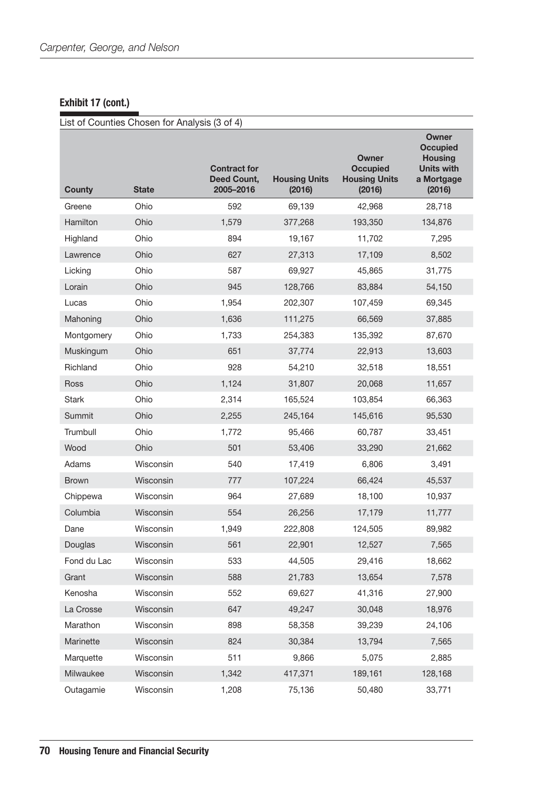### Exhibit 17 (cont.)

|               | List of Counties Chosen for Analysis (3 of 4) |                                                 |                                |                                                            |                                                                                  |
|---------------|-----------------------------------------------|-------------------------------------------------|--------------------------------|------------------------------------------------------------|----------------------------------------------------------------------------------|
| <b>County</b> | <b>State</b>                                  | <b>Contract for</b><br>Deed Count,<br>2005-2016 | <b>Housing Units</b><br>(2016) | Owner<br><b>Occupied</b><br><b>Housing Units</b><br>(2016) | Owner<br><b>Occupied</b><br><b>Housing</b><br>Units with<br>a Mortgage<br>(2016) |
| Greene        | Ohio                                          | 592                                             | 69,139                         | 42,968                                                     | 28,718                                                                           |
| Hamilton      | Ohio                                          | 1,579                                           | 377,268                        | 193,350                                                    | 134,876                                                                          |
| Highland      | Ohio                                          | 894                                             | 19,167                         | 11,702                                                     | 7,295                                                                            |
| Lawrence      | Ohio                                          | 627                                             | 27,313                         | 17,109                                                     | 8,502                                                                            |
| Licking       | Ohio                                          | 587                                             | 69,927                         | 45,865                                                     | 31,775                                                                           |
| Lorain        | Ohio                                          | 945                                             | 128,766                        | 83,884                                                     | 54,150                                                                           |
| Lucas         | Ohio                                          | 1,954                                           | 202,307                        | 107,459                                                    | 69,345                                                                           |
| Mahoning      | Ohio                                          | 1,636                                           | 111,275                        | 66,569                                                     | 37,885                                                                           |
| Montgomery    | Ohio                                          | 1,733                                           | 254,383                        | 135,392                                                    | 87,670                                                                           |
| Muskingum     | Ohio                                          | 651                                             | 37,774                         | 22,913                                                     | 13,603                                                                           |
| Richland      | Ohio                                          | 928                                             | 54,210                         | 32,518                                                     | 18,551                                                                           |
| Ross          | Ohio                                          | 1,124                                           | 31,807                         | 20,068                                                     | 11,657                                                                           |
| <b>Stark</b>  | Ohio                                          | 2,314                                           | 165,524                        | 103,854                                                    | 66,363                                                                           |
| <b>Summit</b> | Ohio                                          | 2,255                                           | 245,164                        | 145,616                                                    | 95,530                                                                           |
| Trumbull      | Ohio                                          | 1,772                                           | 95,466                         | 60,787                                                     | 33,451                                                                           |
| Wood          | Ohio                                          | 501                                             | 53,406                         | 33,290                                                     | 21,662                                                                           |
| Adams         | Wisconsin                                     | 540                                             | 17,419                         | 6,806                                                      | 3,491                                                                            |
| <b>Brown</b>  | Wisconsin                                     | 777                                             | 107,224                        | 66,424                                                     | 45,537                                                                           |
| Chippewa      | Wisconsin                                     | 964                                             | 27,689                         | 18,100                                                     | 10,937                                                                           |
| Columbia      | Wisconsin                                     | 554                                             | 26,256                         | 17,179                                                     | 11,777                                                                           |
| Dane          | Wisconsin                                     | 1,949                                           | 222,808                        | 124,505                                                    | 89,982                                                                           |
| Douglas       | Wisconsin                                     | 561                                             | 22,901                         | 12,527                                                     | 7,565                                                                            |
| Fond du Lac   | Wisconsin                                     | 533                                             | 44,505                         | 29,416                                                     | 18,662                                                                           |
| Grant         | Wisconsin                                     | 588                                             | 21,783                         | 13,654                                                     | 7,578                                                                            |
| Kenosha       | Wisconsin                                     | 552                                             | 69,627                         | 41,316                                                     | 27,900                                                                           |
| La Crosse     | Wisconsin                                     | 647                                             | 49,247                         | 30,048                                                     | 18,976                                                                           |
| Marathon      | Wisconsin                                     | 898                                             | 58,358                         | 39,239                                                     | 24,106                                                                           |
| Marinette     | Wisconsin                                     | 824                                             | 30,384                         | 13,794                                                     | 7,565                                                                            |
| Marquette     | Wisconsin                                     | 511                                             | 9,866                          | 5,075                                                      | 2,885                                                                            |
| Milwaukee     | Wisconsin                                     | 1,342                                           | 417,371                        | 189,161                                                    | 128,168                                                                          |
| Outagamie     | Wisconsin                                     | 1,208                                           | 75,136                         | 50,480                                                     | 33,771                                                                           |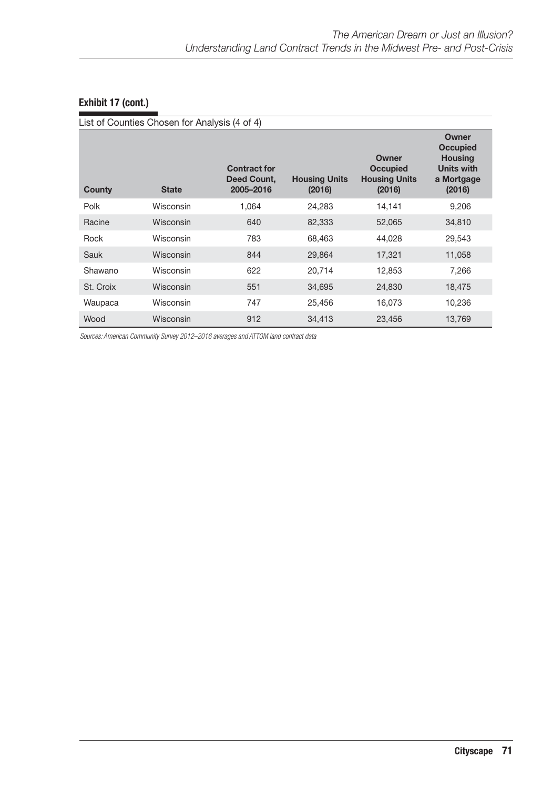|           | List of Counties Chosen for Analysis (4 of 4) |                                                 |                                |                                                            |                                                                                         |
|-----------|-----------------------------------------------|-------------------------------------------------|--------------------------------|------------------------------------------------------------|-----------------------------------------------------------------------------------------|
| County    | <b>State</b>                                  | <b>Contract for</b><br>Deed Count,<br>2005-2016 | <b>Housing Units</b><br>(2016) | Owner<br><b>Occupied</b><br><b>Housing Units</b><br>(2016) | Owner<br><b>Occupied</b><br><b>Housing</b><br><b>Units with</b><br>a Mortgage<br>(2016) |
| Polk      | Wisconsin                                     | 1.064                                           | 24,283                         | 14,141                                                     | 9,206                                                                                   |
| Racine    | <b>Wisconsin</b>                              | 640                                             | 82,333                         | 52,065                                                     | 34,810                                                                                  |
| Rock      | Wisconsin                                     | 783                                             | 68,463                         | 44,028                                                     | 29,543                                                                                  |
| Sauk      | <b>Wisconsin</b>                              | 844                                             | 29,864                         | 17,321                                                     | 11,058                                                                                  |
| Shawano   | Wisconsin                                     | 622                                             | 20,714                         | 12,853                                                     | 7.266                                                                                   |
| St. Croix | <b>Wisconsin</b>                              | 551                                             | 34,695                         | 24,830                                                     | 18,475                                                                                  |
| Waupaca   | Wisconsin                                     | 747                                             | 25,456                         | 16.073                                                     | 10,236                                                                                  |
| Wood      | Wisconsin                                     | 912                                             | 34,413                         | 23,456                                                     | 13,769                                                                                  |

*Sources: American Community Survey 2012–2016 averages and ATTOM land contract data*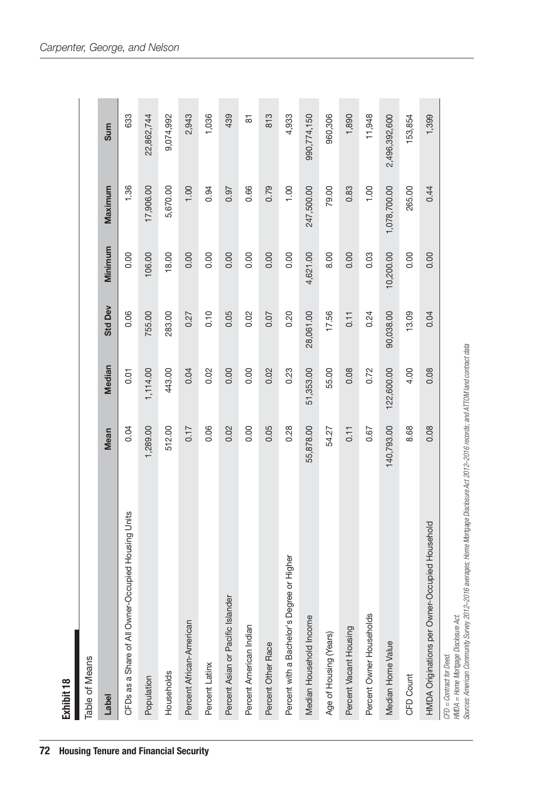| Exhibit 18                                          |             |             |                |           |              |               |
|-----------------------------------------------------|-------------|-------------|----------------|-----------|--------------|---------------|
| Table of Means                                      |             |             |                |           |              |               |
| Label                                               | <b>Mean</b> | Median      | <b>Std Dev</b> | Minimum   | Maximum      | Sum           |
| CFDs as a Share of All Owner-Occupied Housing Units | 0.04        | <b>5.01</b> | 0.06           | 0.00      | 1.36         | 633           |
| Population                                          | 1,289.00    | 1,114.00    | 755.00         | 106.00    | 17,906.00    | 22,862,744    |
| Households                                          | 512.00      | 443.00      | 283.00         | 18.00     | 5,670.00     | 9,074,992     |
| Percent African-American                            | 0.17        | 0.04        | 0.27           | 0.00      | 1.00         | 2,943         |
| Percent Latinx                                      | 0.06        | 0.02        | 0.10           | 0.00      | 0.94         | 1,036         |
| Percent Asian or Pacific Islander                   | 0.02        | 0.00        | 0.05           | 0.00      | 0.97         | 439           |
| Percent American Indian                             | 0.00        | 0.00        | 0.02           | 0.00      | 0.66         | 5             |
| Percent Other Race                                  | 0.05        | 0.02        | 0.07           | 0.00      | 0.79         | 813           |
| Percent with a Bachelor's Degree or Higher          | 0.28        | 0.23        | 0.20           | 0.00      | 1.00         | 4,933         |
| Median Household Income                             | 55,878.00   | 51,353.00   | 28,061.00      | 4,621.00  | 247,500.00   | 990,774,150   |
| Age of Housing (Years)                              | 54.27       | 55.00       | 17.56          | 8.00      | 79.00        | 960,306       |
| Percent Vacant Housing                              | 0.11        | 0.08        | 0.11           | 0.00      | 0.83         | 1,890         |
| Percent Owner Households                            | 0.67        | 0.72        | 0.24           | 0.03      | 1.00         | 11,948        |
| Median Home Value                                   | 140,793.00  | 122,600.00  | 90,038.00      | 10,200.00 | 1,078,700.00 | 2,496,392,600 |
| CFD Count                                           | 8.68        | 4.00        | 13.09          | 0.00      | 265.00       | 153,854       |
| HMDA Originations per Owner-Occupied Household      | 0.08        | 0.08        | 0.04           | 0.00      | 0.44         | 1,399         |
| CFD = Contract for Deed.                            |             |             |                |           |              |               |

CFD = Contract for Deed.<br>HMDA = Home Mortgage Disclosure Act.<br>Sources: American Community Survey 2012–2016 averages; Home Mortgage Disclosure Act 2012–2016 records; and ATTOM land contract data *Sources: American Community Survey 2012–2016 averages; Home Mortgage Disclosure Act 2012–2016 records; and ATTOM land contract dataHMDA = Home Mortgage Disclosure Act.*

Exhibit 18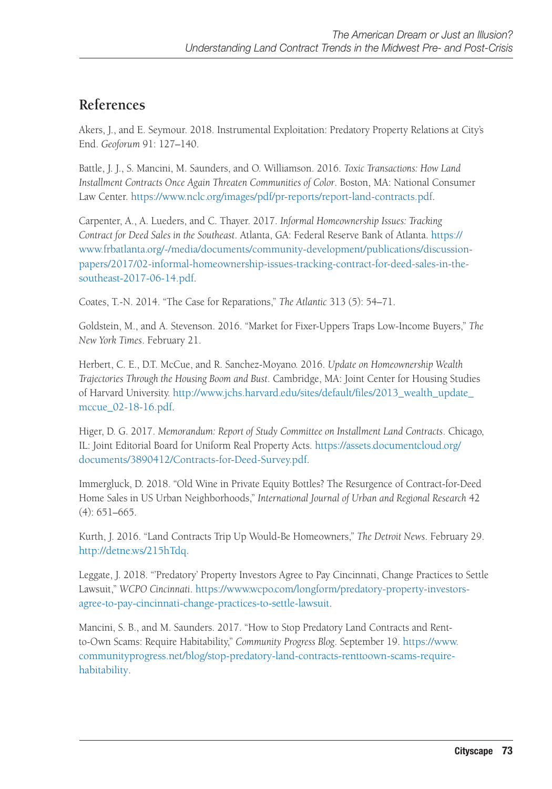## **References**

Akers, J., and E. Seymour. 2018. Instrumental Exploitation: Predatory Property Relations at City's End. *Geoforum* 91: 127–140.

Battle, J. J., S. Mancini, M. Saunders, and O. Williamson. 2016. *Toxic Transactions: How Land Installment Contracts Once Again Threaten Communities of Color*. Boston, MA: National Consumer Law Center. [https://www.nclc.org/images/pdf/pr-reports/report-land-contracts.pdf.](https://www.nclc.org/images/pdf/pr-reports/report-land-contracts.pdf)

Carpenter, A., A. Lueders, and C. Thayer. 2017. *Informal Homeownership Issues: Tracking Contract for Deed Sales in the Southeast*. Atlanta, GA: Federal Reserve Bank of Atlanta. [https://](https://www.frbatlanta.org/-/media/documents/community-development/publications/discussion-papers/2017/02-informal-homeownership-issues-tracking-contract-for-deed-sales-in-the-southeast-2017-06-14.pdf) [www.frbatlanta.org/-/media/documents/community-development/publications/discussion](https://www.frbatlanta.org/-/media/documents/community-development/publications/discussion-papers/2017/02-informal-homeownership-issues-tracking-contract-for-deed-sales-in-the-southeast-2017-06-14.pdf)[papers/2017/02-informal-homeownership-issues-tracking-contract-for-deed-sales-in-the](https://www.frbatlanta.org/-/media/documents/community-development/publications/discussion-papers/2017/02-informal-homeownership-issues-tracking-contract-for-deed-sales-in-the-southeast-2017-06-14.pdf)[southeast-2017-06-14.pdf.](https://www.frbatlanta.org/-/media/documents/community-development/publications/discussion-papers/2017/02-informal-homeownership-issues-tracking-contract-for-deed-sales-in-the-southeast-2017-06-14.pdf)

Coates, T.-N. 2014. "The Case for Reparations," *The Atlantic* 313 (5): 54–71.

Goldstein, M., and A. Stevenson. 2016. "Market for Fixer-Uppers Traps Low-Income Buyers," *The New York Times*. February 21.

Herbert, C. E., D.T. McCue, and R. Sanchez-Moyano. 2016. *Update on Homeownership Wealth Trajectories Through the Housing Boom and Bust*. Cambridge, MA: Joint Center for Housing Studies of Harvard University. [http://www.jchs.harvard.edu/sites/default/files/2013\\_wealth\\_update\\_](http://www.jchs.harvard.edu/sites/default/files/2013_wealth_update_mccue_02-18-16.pdf) [mccue\\_02-18-16.pdf](http://www.jchs.harvard.edu/sites/default/files/2013_wealth_update_mccue_02-18-16.pdf).

Higer, D. G. 2017. *Memorandum: Report of Study Committee on Installment Land Contracts*. Chicago, IL: Joint Editorial Board for Uniform Real Property Acts. [https://assets.documentcloud.org/](https://assets.documentcloud.org/documents/3890412/Contracts-for-Deed-Survey.pdf) [documents/3890412/Contracts-for-Deed-Survey.pdf](https://assets.documentcloud.org/documents/3890412/Contracts-for-Deed-Survey.pdf).

Immergluck, D. 2018. "Old Wine in Private Equity Bottles? The Resurgence of Contract-for-Deed Home Sales in US Urban Neighborhoods," *International Journal of Urban and Regional Research* 42 (4): 651–665.

Kurth, J. 2016. "Land Contracts Trip Up Would-Be Homeowners," *The Detroit News*. February 29. <http://detne.ws/215hTdq>.

Leggate, J. 2018. "'Predatory' Property Investors Agree to Pay Cincinnati, Change Practices to Settle Lawsuit," *WCPO Cincinnati*. [https://www.wcpo.com/longform/predatory-property-investors](https://www.wcpo.com/longform/predatory-property-investors-agree-to-pay-cincinnati-change-practices-to-settle-lawsuit)[agree-to-pay-cincinnati-change-practices-to-settle-lawsuit.](https://www.wcpo.com/longform/predatory-property-investors-agree-to-pay-cincinnati-change-practices-to-settle-lawsuit)

Mancini, S. B., and M. Saunders. 2017. "How to Stop Predatory Land Contracts and Rentto-Own Scams: Require Habitability," *Community Progress Blog*. September 19. [https://www.](https://www.communityprogress.net/blog/stop-predatory-land-contracts-renttoown-scams-require-habitability) [communityprogress.net/blog/stop-predatory-land-contracts-renttoown-scams-require](https://www.communityprogress.net/blog/stop-predatory-land-contracts-renttoown-scams-require-habitability)[habitability](https://www.communityprogress.net/blog/stop-predatory-land-contracts-renttoown-scams-require-habitability).